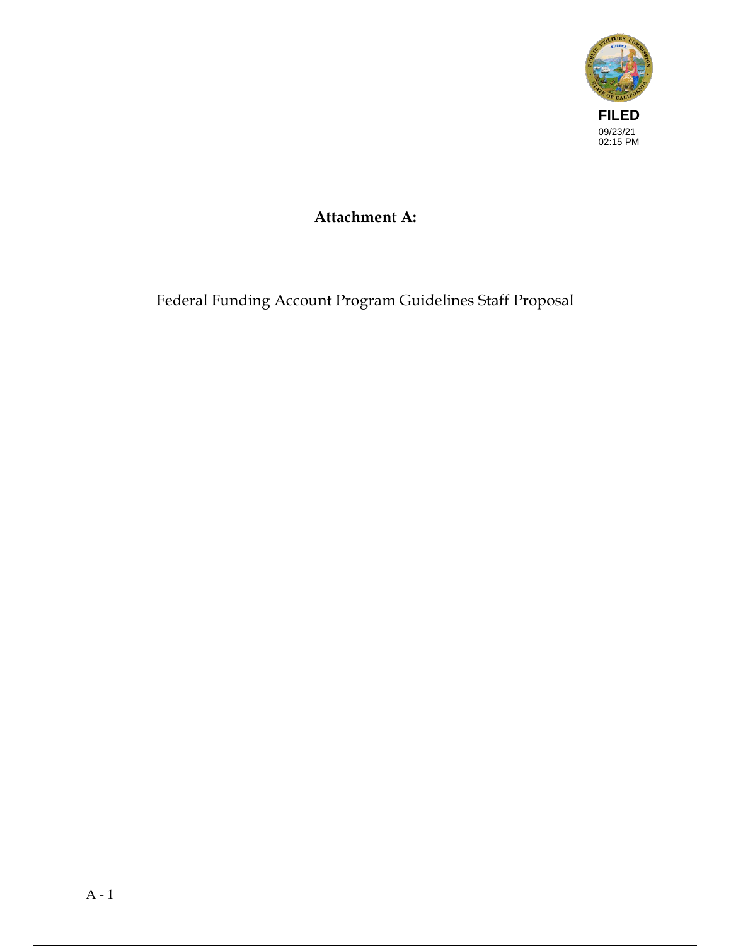

# Attachment A:

Federal Funding Account Program Guidelines Staff Proposal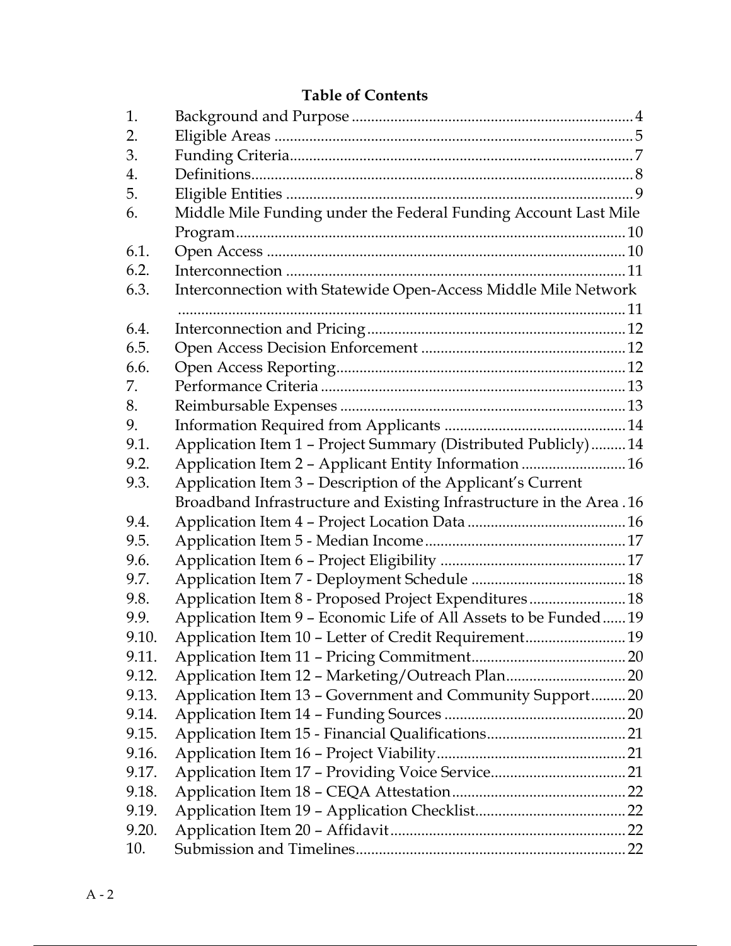## Table of Contents

| 1.    |                                                                      |  |
|-------|----------------------------------------------------------------------|--|
| 2.    |                                                                      |  |
| 3.    |                                                                      |  |
| 4.    |                                                                      |  |
| 5.    |                                                                      |  |
| 6.    | Middle Mile Funding under the Federal Funding Account Last Mile      |  |
|       |                                                                      |  |
| 6.1.  |                                                                      |  |
| 6.2.  |                                                                      |  |
| 6.3.  | Interconnection with Statewide Open-Access Middle Mile Network       |  |
|       |                                                                      |  |
| 6.4.  |                                                                      |  |
| 6.5.  |                                                                      |  |
| 6.6.  |                                                                      |  |
| 7.    |                                                                      |  |
| 8.    |                                                                      |  |
| 9.    |                                                                      |  |
| 9.1.  | Application Item 1 - Project Summary (Distributed Publicly)14        |  |
| 9.2.  | Application Item 2 - Applicant Entity Information  16                |  |
| 9.3.  | Application Item 3 - Description of the Applicant's Current          |  |
|       | Broadband Infrastructure and Existing Infrastructure in the Area. 16 |  |
| 9.4.  |                                                                      |  |
| 9.5.  |                                                                      |  |
| 9.6.  |                                                                      |  |
| 9.7.  |                                                                      |  |
| 9.8.  | Application Item 8 - Proposed Project Expenditures 18                |  |
| 9.9.  | Application Item 9 - Economic Life of All Assets to be Funded19      |  |
| 9.10. | Application Item 10 - Letter of Credit Requirement 19                |  |
| 9.11. |                                                                      |  |
| 9.12. |                                                                      |  |
| 9.13. | Application Item 13 - Government and Community Support 20            |  |
| 9.14. |                                                                      |  |
| 9.15. |                                                                      |  |
| 9.16. |                                                                      |  |
| 9.17. |                                                                      |  |
| 9.18. |                                                                      |  |
| 9.19. |                                                                      |  |
| 9.20. |                                                                      |  |
| 10.   |                                                                      |  |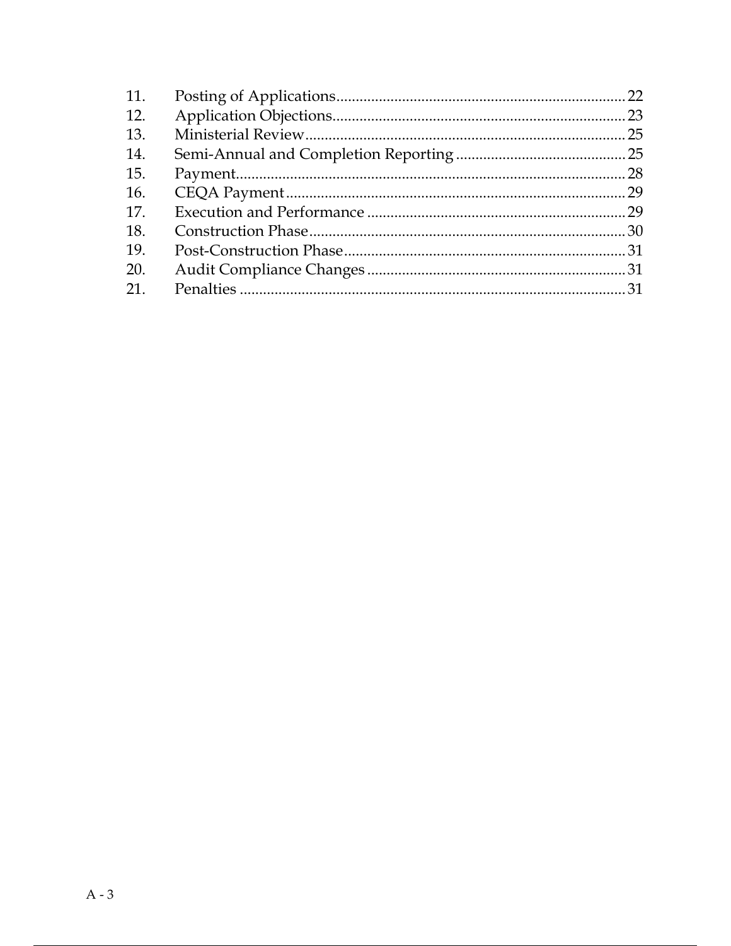| 11. |  |
|-----|--|
| 12. |  |
| 13. |  |
| 14. |  |
| 15. |  |
| 16. |  |
| 17. |  |
| 18. |  |
| 19. |  |
| 20. |  |
| 21. |  |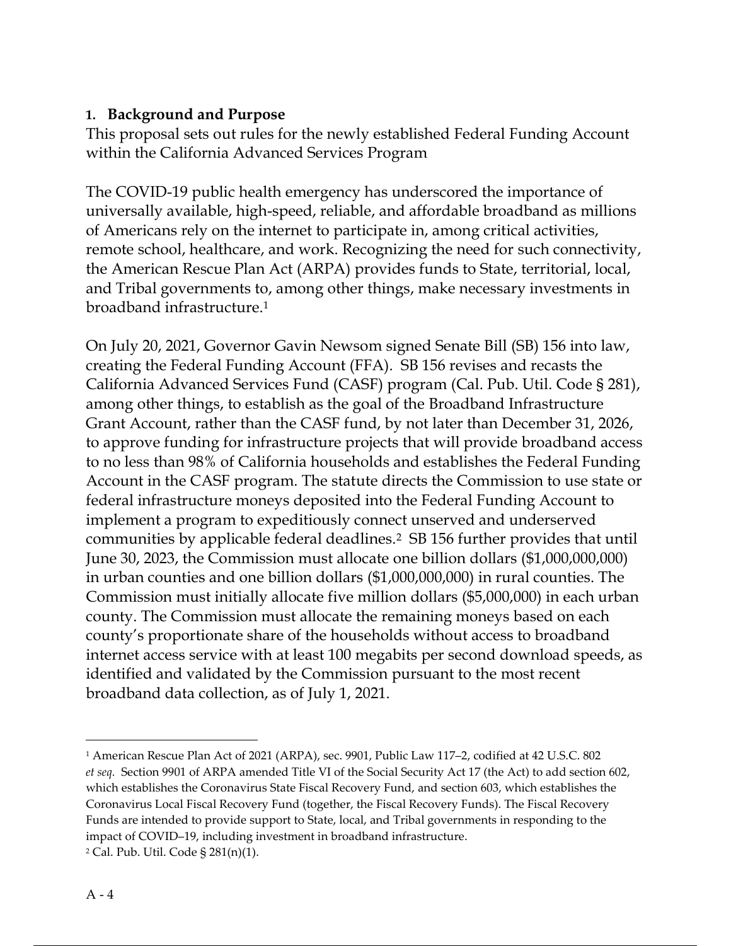### 1. Background and Purpose

This proposal sets out rules for the newly established Federal Funding Account within the California Advanced Services Program

The COVID-19 public health emergency has underscored the importance of universally available, high-speed, reliable, and affordable broadband as millions of Americans rely on the internet to participate in, among critical activities, remote school, healthcare, and work. Recognizing the need for such connectivity, the American Rescue Plan Act (ARPA) provides funds to State, territorial, local, and Tribal governments to, among other things, make necessary investments in broadband infrastructure.<sup>1</sup>

On July 20, 2021, Governor Gavin Newsom signed Senate Bill (SB) 156 into law, creating the Federal Funding Account (FFA). SB 156 revises and recasts the California Advanced Services Fund (CASF) program (Cal. Pub. Util. Code § 281), among other things, to establish as the goal of the Broadband Infrastructure Grant Account, rather than the CASF fund, by not later than December 31, 2026, to approve funding for infrastructure projects that will provide broadband access to no less than 98% of California households and establishes the Federal Funding Account in the CASF program. The statute directs the Commission to use state or federal infrastructure moneys deposited into the Federal Funding Account to implement a program to expeditiously connect unserved and underserved communities by applicable federal deadlines.2 SB 156 further provides that until June 30, 2023, the Commission must allocate one billion dollars (\$1,000,000,000) in urban counties and one billion dollars (\$1,000,000,000) in rural counties. The Commission must initially allocate five million dollars (\$5,000,000) in each urban county. The Commission must allocate the remaining moneys based on each county's proportionate share of the households without access to broadband internet access service with at least 100 megabits per second download speeds, as identified and validated by the Commission pursuant to the most recent broadband data collection, as of July 1, 2021.

<sup>1</sup> American Rescue Plan Act of 2021 (ARPA), sec. 9901, Public Law 117–2, codified at 42 U.S.C. 802 et seq. Section 9901 of ARPA amended Title VI of the Social Security Act 17 (the Act) to add section 602, which establishes the Coronavirus State Fiscal Recovery Fund, and section 603, which establishes the Coronavirus Local Fiscal Recovery Fund (together, the Fiscal Recovery Funds). The Fiscal Recovery Funds are intended to provide support to State, local, and Tribal governments in responding to the impact of COVID–19, including investment in broadband infrastructure.

<sup>2</sup> Cal. Pub. Util. Code § 281(n)(1).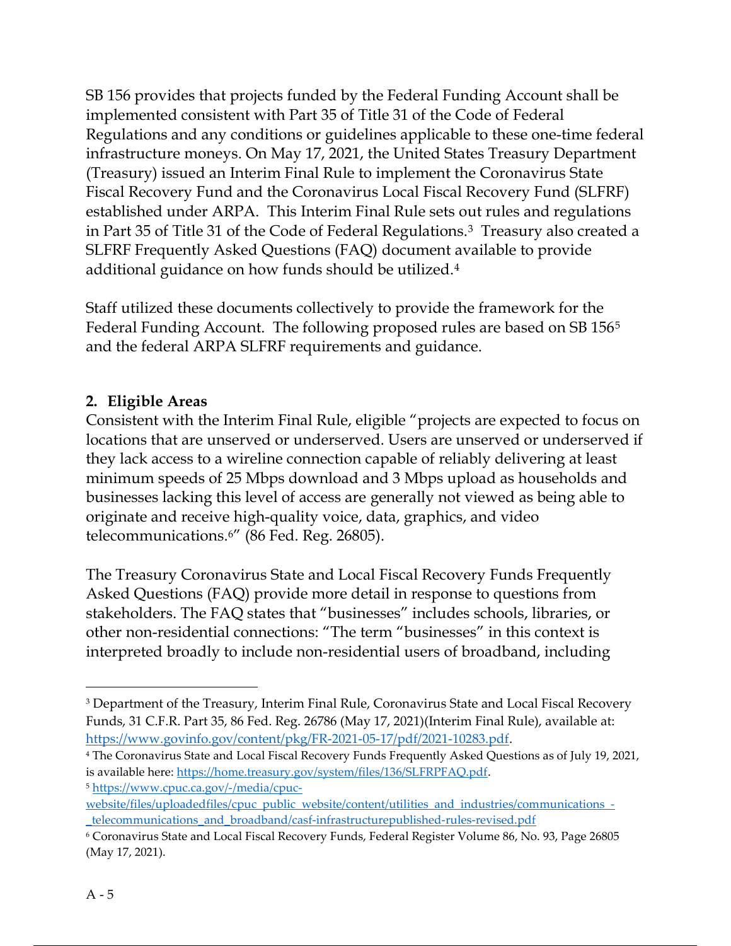SB 156 provides that projects funded by the Federal Funding Account shall be implemented consistent with Part 35 of Title 31 of the Code of Federal Regulations and any conditions or guidelines applicable to these one-time federal infrastructure moneys. On May 17, 2021, the United States Treasury Department (Treasury) issued an Interim Final Rule to implement the Coronavirus State Fiscal Recovery Fund and the Coronavirus Local Fiscal Recovery Fund (SLFRF) established under ARPA. This Interim Final Rule sets out rules and regulations in Part 35 of Title 31 of the Code of Federal Regulations.3 Treasury also created a SLFRF Frequently Asked Questions (FAQ) document available to provide additional guidance on how funds should be utilized.<sup>4</sup>

Staff utilized these documents collectively to provide the framework for the Federal Funding Account. The following proposed rules are based on SB 156<sup>5</sup> and the federal ARPA SLFRF requirements and guidance.

### 2. Eligible Areas

Consistent with the Interim Final Rule, eligible "projects are expected to focus on locations that are unserved or underserved. Users are unserved or underserved if they lack access to a wireline connection capable of reliably delivering at least minimum speeds of 25 Mbps download and 3 Mbps upload as households and businesses lacking this level of access are generally not viewed as being able to originate and receive high-quality voice, data, graphics, and video telecommunications.6" (86 Fed. Reg. 26805).

The Treasury Coronavirus State and Local Fiscal Recovery Funds Frequently Asked Questions (FAQ) provide more detail in response to questions from stakeholders. The FAQ states that "businesses" includes schools, libraries, or other non-residential connections: "The term "businesses" in this context is interpreted broadly to include non-residential users of broadband, including

4 The Coronavirus State and Local Fiscal Recovery Funds Frequently Asked Questions as of July 19, 2021, is available here: https://home.treasury.gov/system/files/136/SLFRPFAQ.pdf. <sup>5</sup> https://www.cpuc.ca.gov/-/media/cpuc-

<sup>&</sup>lt;sup>3</sup> Department of the Treasury, Interim Final Rule, Coronavirus State and Local Fiscal Recovery Funds, 31 C.F.R. Part 35, 86 Fed. Reg. 26786 (May 17, 2021)(Interim Final Rule), available at: https://www.govinfo.gov/content/pkg/FR-2021-05-17/pdf/2021-10283.pdf.

website/files/uploadedfiles/cpuc\_public\_website/content/utilities\_and\_industries/communications\_-\_telecommunications\_and\_broadband/casf-infrastructurepublished-rules-revised.pdf

<sup>6</sup> Coronavirus State and Local Fiscal Recovery Funds, Federal Register Volume 86, No. 93, Page 26805 (May 17, 2021).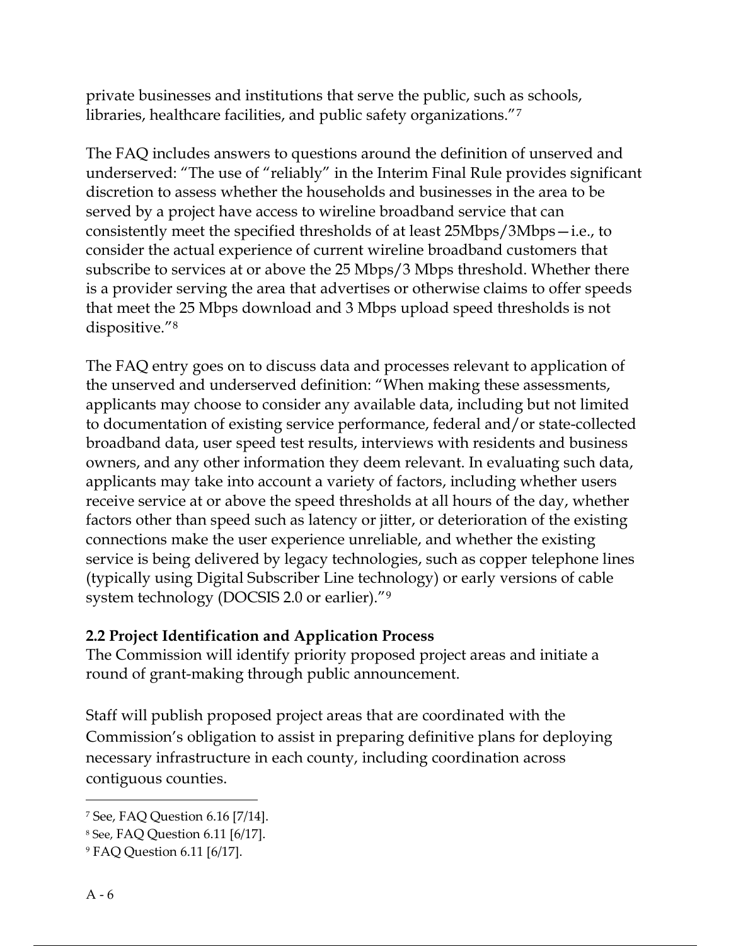private businesses and institutions that serve the public, such as schools, libraries, healthcare facilities, and public safety organizations."<sup>7</sup>

The FAQ includes answers to questions around the definition of unserved and underserved: "The use of "reliably" in the Interim Final Rule provides significant discretion to assess whether the households and businesses in the area to be served by a project have access to wireline broadband service that can consistently meet the specified thresholds of at least 25Mbps/3Mbps—i.e., to consider the actual experience of current wireline broadband customers that subscribe to services at or above the 25 Mbps/3 Mbps threshold. Whether there is a provider serving the area that advertises or otherwise claims to offer speeds that meet the 25 Mbps download and 3 Mbps upload speed thresholds is not dispositive."<sup>8</sup>

The FAQ entry goes on to discuss data and processes relevant to application of the unserved and underserved definition: "When making these assessments, applicants may choose to consider any available data, including but not limited to documentation of existing service performance, federal and/or state-collected broadband data, user speed test results, interviews with residents and business owners, and any other information they deem relevant. In evaluating such data, applicants may take into account a variety of factors, including whether users receive service at or above the speed thresholds at all hours of the day, whether factors other than speed such as latency or jitter, or deterioration of the existing connections make the user experience unreliable, and whether the existing service is being delivered by legacy technologies, such as copper telephone lines (typically using Digital Subscriber Line technology) or early versions of cable system technology (DOCSIS 2.0 or earlier)."<sup>9</sup>

### 2.2 Project Identification and Application Process

The Commission will identify priority proposed project areas and initiate a round of grant-making through public announcement.

Staff will publish proposed project areas that are coordinated with the Commission's obligation to assist in preparing definitive plans for deploying necessary infrastructure in each county, including coordination across contiguous counties.

<sup>7</sup> See, FAQ Question 6.16 [7/14].

<sup>8</sup> See, FAQ Question 6.11 [6/17].

<sup>9</sup> FAQ Question 6.11 [6/17].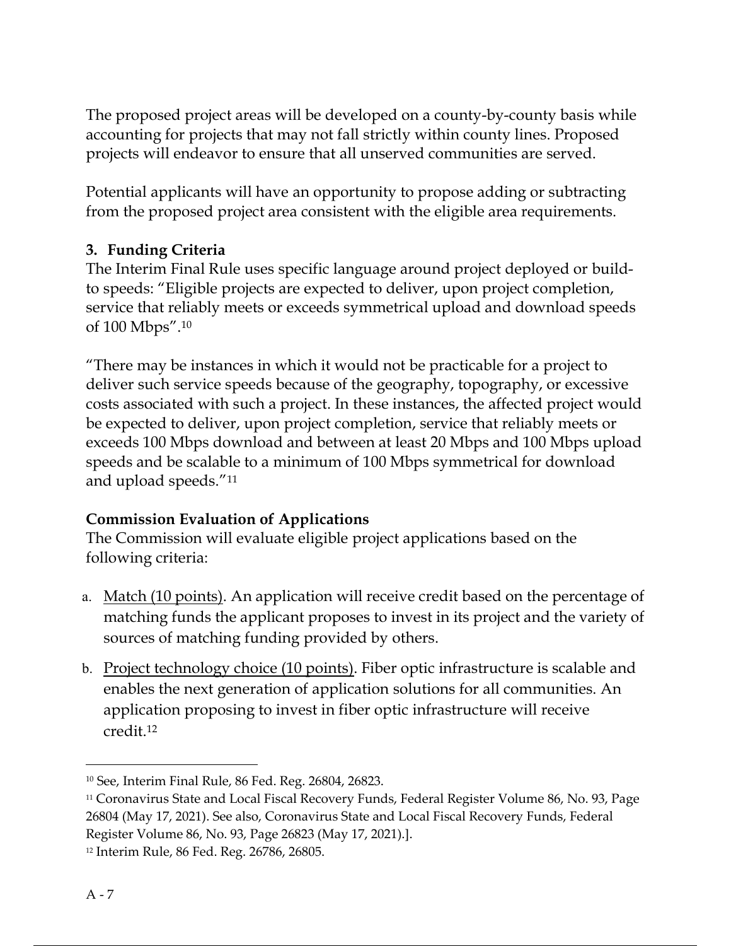The proposed project areas will be developed on a county-by-county basis while accounting for projects that may not fall strictly within county lines. Proposed projects will endeavor to ensure that all unserved communities are served.

Potential applicants will have an opportunity to propose adding or subtracting from the proposed project area consistent with the eligible area requirements.

### 3. Funding Criteria

The Interim Final Rule uses specific language around project deployed or buildto speeds: "Eligible projects are expected to deliver, upon project completion, service that reliably meets or exceeds symmetrical upload and download speeds of 100 Mbps".<sup>10</sup>

"There may be instances in which it would not be practicable for a project to deliver such service speeds because of the geography, topography, or excessive costs associated with such a project. In these instances, the affected project would be expected to deliver, upon project completion, service that reliably meets or exceeds 100 Mbps download and between at least 20 Mbps and 100 Mbps upload speeds and be scalable to a minimum of 100 Mbps symmetrical for download and upload speeds."<sup>11</sup>

### Commission Evaluation of Applications

The Commission will evaluate eligible project applications based on the following criteria:

- a. Match (10 points). An application will receive credit based on the percentage of matching funds the applicant proposes to invest in its project and the variety of sources of matching funding provided by others.
- b. Project technology choice (10 points). Fiber optic infrastructure is scalable and enables the next generation of application solutions for all communities. An application proposing to invest in fiber optic infrastructure will receive credit.<sup>12</sup>

<sup>10</sup> See, Interim Final Rule, 86 Fed. Reg. 26804, 26823.

<sup>11</sup> Coronavirus State and Local Fiscal Recovery Funds, Federal Register Volume 86, No. 93, Page 26804 (May 17, 2021). See also, Coronavirus State and Local Fiscal Recovery Funds, Federal Register Volume 86, No. 93, Page 26823 (May 17, 2021).].

<sup>12</sup> Interim Rule, 86 Fed. Reg. 26786, 26805.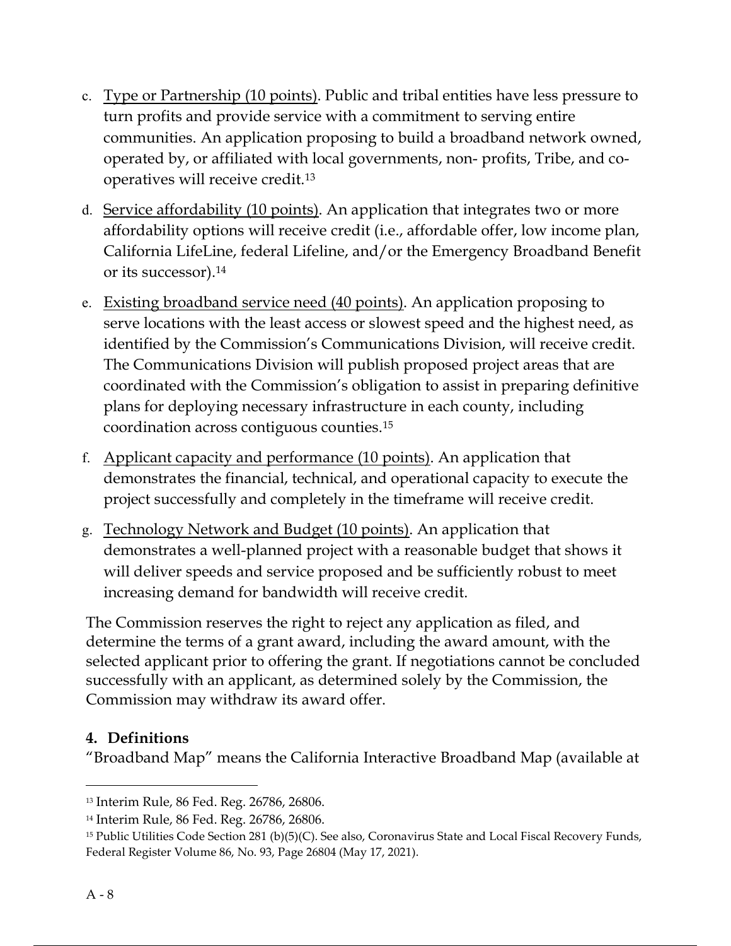- c. Type or Partnership (10 points). Public and tribal entities have less pressure to turn profits and provide service with a commitment to serving entire communities. An application proposing to build a broadband network owned, operated by, or affiliated with local governments, non- profits, Tribe, and cooperatives will receive credit.<sup>13</sup>
- d. Service affordability (10 points). An application that integrates two or more affordability options will receive credit (i.e., affordable offer, low income plan, California LifeLine, federal Lifeline, and/or the Emergency Broadband Benefit or its successor).<sup>14</sup>
- e. Existing broadband service need (40 points). An application proposing to serve locations with the least access or slowest speed and the highest need, as identified by the Commission's Communications Division, will receive credit. The Communications Division will publish proposed project areas that are coordinated with the Commission's obligation to assist in preparing definitive plans for deploying necessary infrastructure in each county, including coordination across contiguous counties.<sup>15</sup>
- f. Applicant capacity and performance (10 points). An application that demonstrates the financial, technical, and operational capacity to execute the project successfully and completely in the timeframe will receive credit.
- g. Technology Network and Budget (10 points). An application that demonstrates a well-planned project with a reasonable budget that shows it will deliver speeds and service proposed and be sufficiently robust to meet increasing demand for bandwidth will receive credit.

The Commission reserves the right to reject any application as filed, and determine the terms of a grant award, including the award amount, with the selected applicant prior to offering the grant. If negotiations cannot be concluded successfully with an applicant, as determined solely by the Commission, the Commission may withdraw its award offer.

### 4. Definitions

"Broadband Map" means the California Interactive Broadband Map (available at

<sup>13</sup> Interim Rule, 86 Fed. Reg. 26786, 26806.

<sup>14</sup> Interim Rule, 86 Fed. Reg. 26786, 26806.

<sup>15</sup> Public Utilities Code Section 281 (b)(5)(C). See also, Coronavirus State and Local Fiscal Recovery Funds, Federal Register Volume 86, No. 93, Page 26804 (May 17, 2021).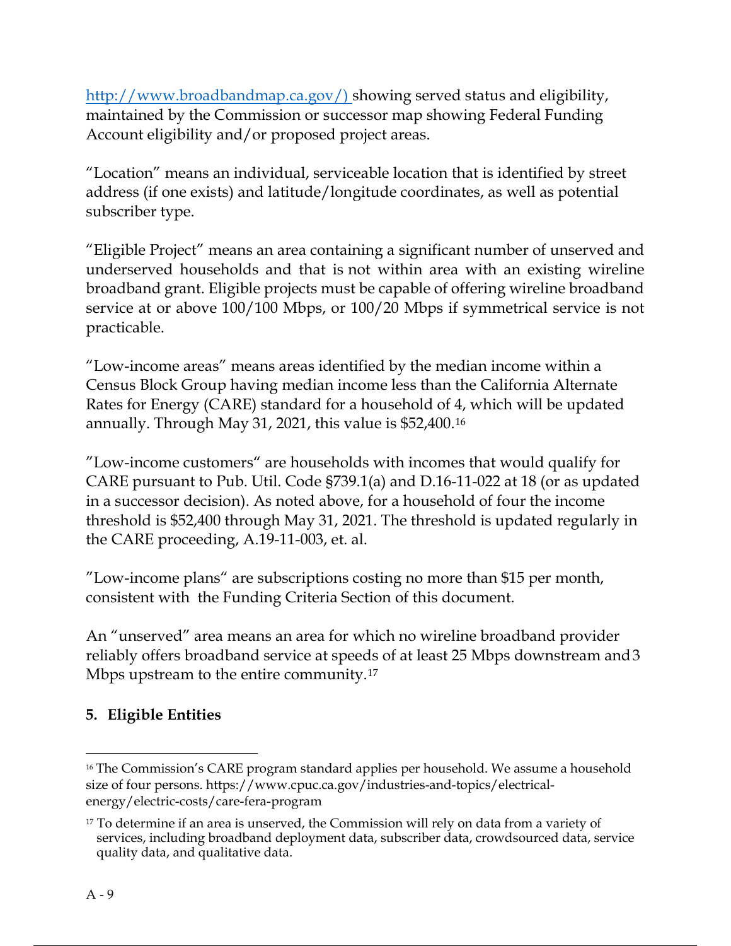http://www.broadbandmap.ca.gov/) showing served status and eligibility, maintained by the Commission or successor map showing Federal Funding Account eligibility and/or proposed project areas.

"Location" means an individual, serviceable location that is identified by street address (if one exists) and latitude/longitude coordinates, as well as potential subscriber type.

"Eligible Project" means an area containing a significant number of unserved and underserved households and that is not within area with an existing wireline broadband grant. Eligible projects must be capable of offering wireline broadband service at or above 100/100 Mbps, or 100/20 Mbps if symmetrical service is not practicable.

"Low-income areas" means areas identified by the median income within a Census Block Group having median income less than the California Alternate Rates for Energy (CARE) standard for a household of 4, which will be updated annually. Through May 31, 2021, this value is \$52,400.<sup>16</sup>

"Low-income customers" are households with incomes that would qualify for CARE pursuant to Pub. Util. Code §739.1(a) and D.16-11-022 at 18 (or as updated in a successor decision). As noted above, for a household of four the income threshold is \$52,400 through May 31, 2021. The threshold is updated regularly in the CARE proceeding, A.19-11-003, et. al.

"Low-income plans" are subscriptions costing no more than \$15 per month, consistent with the Funding Criteria Section of this document.

An "unserved" area means an area for which no wireline broadband provider reliably offers broadband service at speeds of at least 25 Mbps downstream and 3 Mbps upstream to the entire community.<sup>17</sup>

# 5. Eligible Entities

<sup>&</sup>lt;sup>16</sup> The Commission's CARE program standard applies per household. We assume a household size of four persons. https://www.cpuc.ca.gov/industries-and-topics/electricalenergy/electric-costs/care-fera-program

<sup>&</sup>lt;sup>17</sup> To determine if an area is unserved, the Commission will rely on data from a variety of services, including broadband deployment data, subscriber data, crowdsourced data, service quality data, and qualitative data.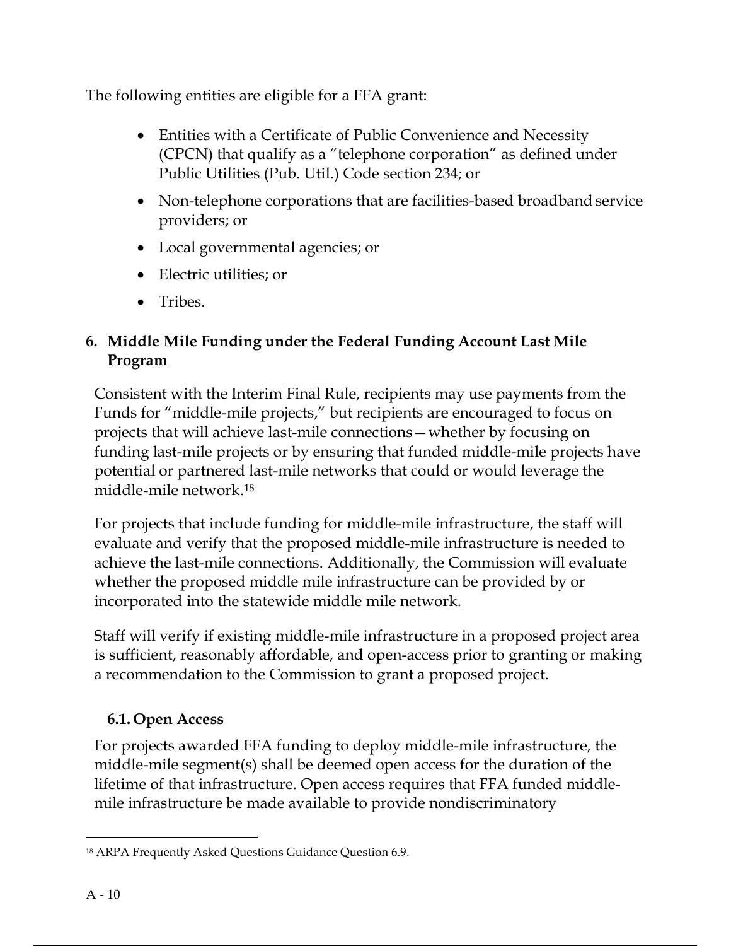The following entities are eligible for a FFA grant:

- Entities with a Certificate of Public Convenience and Necessity (CPCN) that qualify as a "telephone corporation" as defined under Public Utilities (Pub. Util.) Code section 234; or
- Non-telephone corporations that are facilities-based broadband service providers; or
- Local governmental agencies; or
- Electric utilities; or
- Tribes.

# 6. Middle Mile Funding under the Federal Funding Account Last Mile Program

Consistent with the Interim Final Rule, recipients may use payments from the Funds for "middle-mile projects," but recipients are encouraged to focus on projects that will achieve last-mile connections—whether by focusing on funding last-mile projects or by ensuring that funded middle-mile projects have potential or partnered last-mile networks that could or would leverage the middle-mile network.<sup>18</sup>

For projects that include funding for middle-mile infrastructure, the staff will evaluate and verify that the proposed middle-mile infrastructure is needed to achieve the last-mile connections. Additionally, the Commission will evaluate whether the proposed middle mile infrastructure can be provided by or incorporated into the statewide middle mile network.

Staff will verify if existing middle-mile infrastructure in a proposed project area is sufficient, reasonably affordable, and open-access prior to granting or making a recommendation to the Commission to grant a proposed project.

# 6.1. Open Access

For projects awarded FFA funding to deploy middle-mile infrastructure, the middle-mile segment(s) shall be deemed open access for the duration of the lifetime of that infrastructure. Open access requires that FFA funded middlemile infrastructure be made available to provide nondiscriminatory

<sup>18</sup> ARPA Frequently Asked Questions Guidance Question 6.9.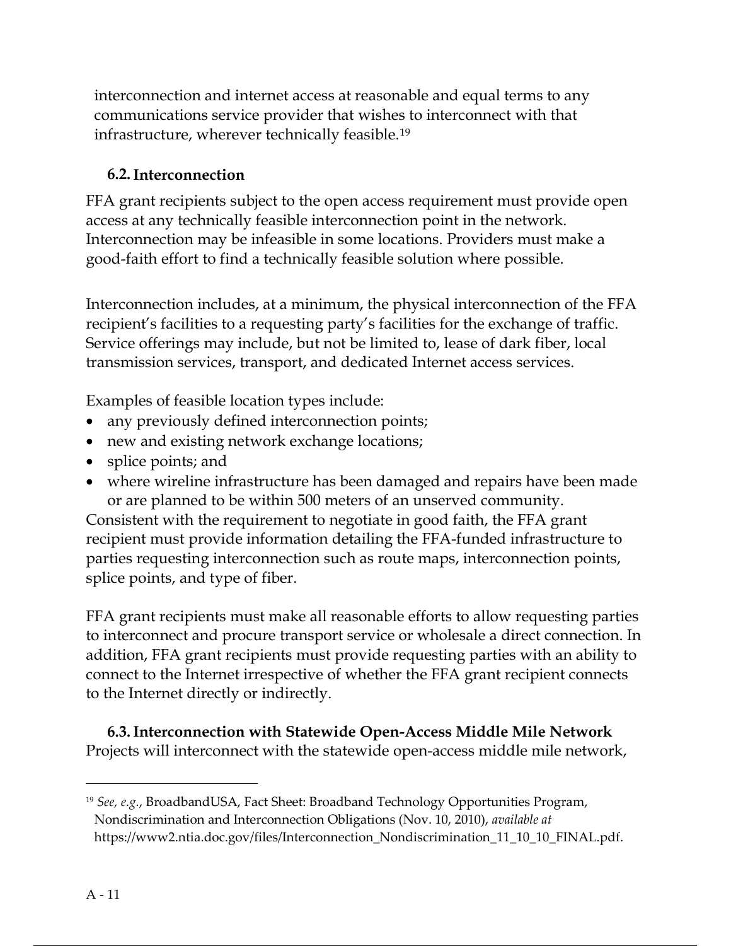interconnection and internet access at reasonable and equal terms to any communications service provider that wishes to interconnect with that infrastructure, wherever technically feasible.<sup>19</sup>

### 6.2.Interconnection

FFA grant recipients subject to the open access requirement must provide open access at any technically feasible interconnection point in the network. Interconnection may be infeasible in some locations. Providers must make a good-faith effort to find a technically feasible solution where possible.

Interconnection includes, at a minimum, the physical interconnection of the FFA recipient's facilities to a requesting party's facilities for the exchange of traffic. Service offerings may include, but not be limited to, lease of dark fiber, local transmission services, transport, and dedicated Internet access services.

Examples of feasible location types include:

- any previously defined interconnection points;
- new and existing network exchange locations;
- splice points; and
- where wireline infrastructure has been damaged and repairs have been made or are planned to be within 500 meters of an unserved community.

Consistent with the requirement to negotiate in good faith, the FFA grant recipient must provide information detailing the FFA-funded infrastructure to parties requesting interconnection such as route maps, interconnection points, splice points, and type of fiber.

FFA grant recipients must make all reasonable efforts to allow requesting parties to interconnect and procure transport service or wholesale a direct connection. In addition, FFA grant recipients must provide requesting parties with an ability to connect to the Internet irrespective of whether the FFA grant recipient connects to the Internet directly or indirectly.

6.3.Interconnection with Statewide Open-Access Middle Mile Network Projects will interconnect with the statewide open-access middle mile network,

 $19$  See, e.g., BroadbandUSA, Fact Sheet: Broadband Technology Opportunities Program, Nondiscrimination and Interconnection Obligations (Nov. 10, 2010), available at https://www2.ntia.doc.gov/files/Interconnection\_Nondiscrimination\_11\_10\_10\_FINAL.pdf.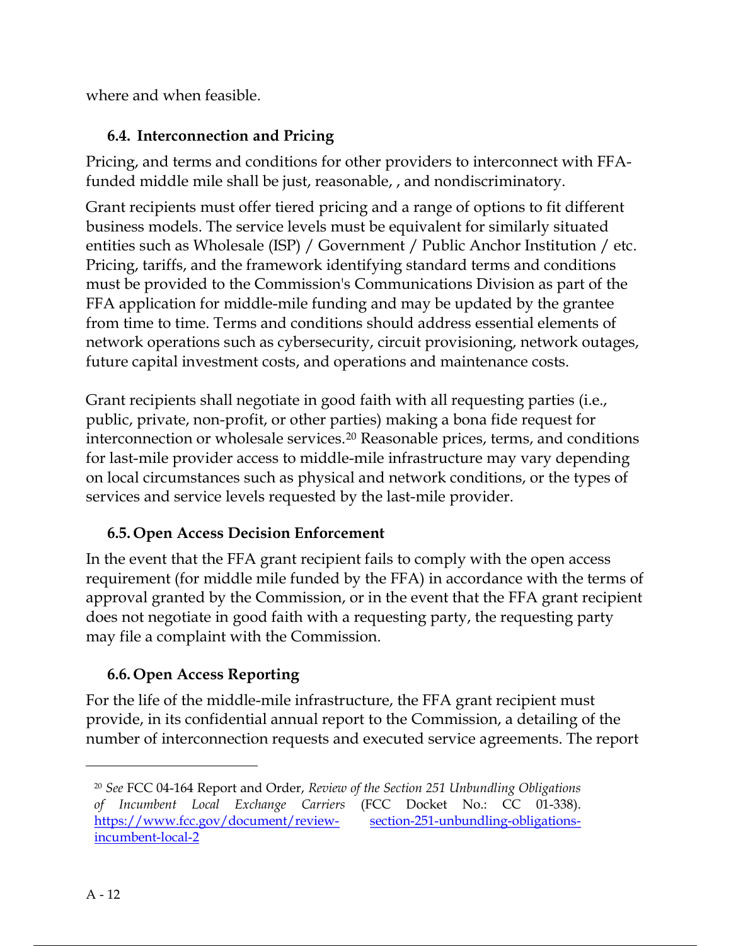where and when feasible.

### 6.4. Interconnection and Pricing

Pricing, and terms and conditions for other providers to interconnect with FFAfunded middle mile shall be just, reasonable, , and nondiscriminatory.

Grant recipients must offer tiered pricing and a range of options to fit different business models. The service levels must be equivalent for similarly situated entities such as Wholesale (ISP) / Government / Public Anchor Institution / etc. Pricing, tariffs, and the framework identifying standard terms and conditions must be provided to the Commission's Communications Division as part of the FFA application for middle-mile funding and may be updated by the grantee from time to time. Terms and conditions should address essential elements of network operations such as cybersecurity, circuit provisioning, network outages, future capital investment costs, and operations and maintenance costs.

Grant recipients shall negotiate in good faith with all requesting parties (i.e., public, private, non-profit, or other parties) making a bona fide request for interconnection or wholesale services.<sup>20</sup> Reasonable prices, terms, and conditions for last-mile provider access to middle-mile infrastructure may vary depending on local circumstances such as physical and network conditions, or the types of services and service levels requested by the last-mile provider.

# 6.5. Open Access Decision Enforcement

In the event that the FFA grant recipient fails to comply with the open access requirement (for middle mile funded by the FFA) in accordance with the terms of approval granted by the Commission, or in the event that the FFA grant recipient does not negotiate in good faith with a requesting party, the requesting party may file a complaint with the Commission.

# 6.6. Open Access Reporting

For the life of the middle-mile infrastructure, the FFA grant recipient must provide, in its confidential annual report to the Commission, a detailing of the number of interconnection requests and executed service agreements. The report

<sup>&</sup>lt;sup>20</sup> See FCC 04-164 Report and Order, Review of the Section 251 Unbundling Obligations of Incumbent Local Exchange Carriers (FCC Docket No.: CC 01-338). https://www.fcc.gov/document/review- section-251-unbundling-obligationsincumbent-local-2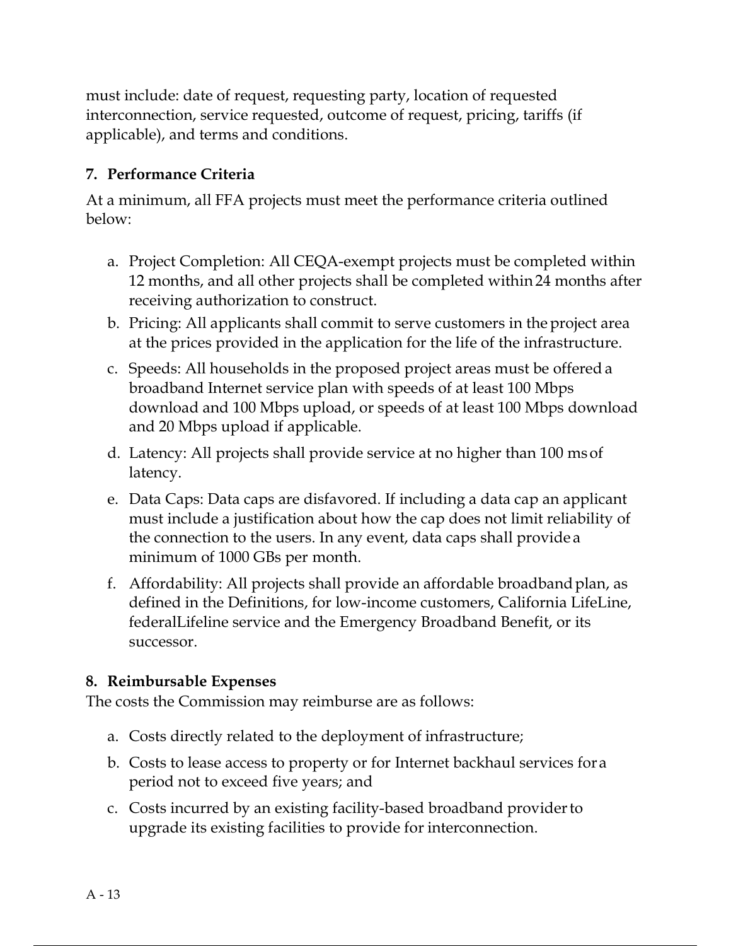must include: date of request, requesting party, location of requested interconnection, service requested, outcome of request, pricing, tariffs (if applicable), and terms and conditions.

## 7. Performance Criteria

At a minimum, all FFA projects must meet the performance criteria outlined below:

- a. Project Completion: All CEQA-exempt projects must be completed within 12 months, and all other projects shall be completed within 24 months after receiving authorization to construct.
- b. Pricing: All applicants shall commit to serve customers in the project area at the prices provided in the application for the life of the infrastructure.
- c. Speeds: All households in the proposed project areas must be offered a broadband Internet service plan with speeds of at least 100 Mbps download and 100 Mbps upload, or speeds of at least 100 Mbps download and 20 Mbps upload if applicable.
- d. Latency: All projects shall provide service at no higher than 100 ms of latency.
- e. Data Caps: Data caps are disfavored. If including a data cap an applicant must include a justification about how the cap does not limit reliability of the connection to the users. In any event, data caps shall provide a minimum of 1000 GBs per month.
- f. Affordability: All projects shall provide an affordable broadband plan, as defined in the Definitions, for low-income customers, California LifeLine, federalLifeline service and the Emergency Broadband Benefit, or its successor.

### 8. Reimbursable Expenses

The costs the Commission may reimburse are as follows:

- a. Costs directly related to the deployment of infrastructure;
- b. Costs to lease access to property or for Internet backhaul services for a period not to exceed five years; and
- c. Costs incurred by an existing facility-based broadband provider to upgrade its existing facilities to provide for interconnection.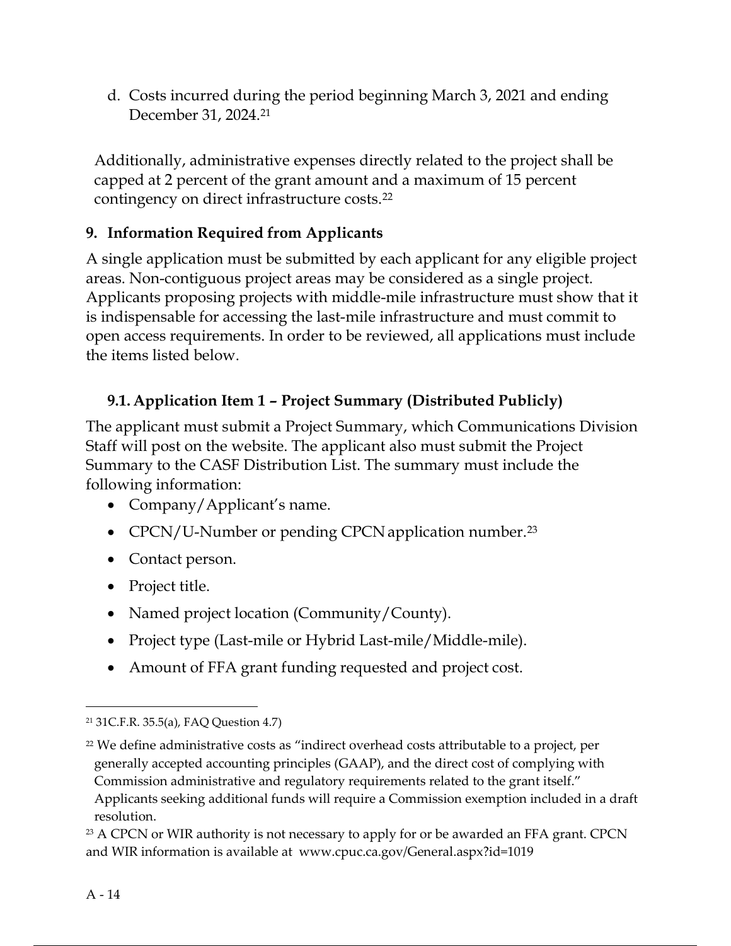d. Costs incurred during the period beginning March 3, 2021 and ending December 31, 2024.<sup>21</sup>

Additionally, administrative expenses directly related to the project shall be capped at 2 percent of the grant amount and a maximum of 15 percent contingency on direct infrastructure costs.<sup>22</sup>

# 9. Information Required from Applicants

A single application must be submitted by each applicant for any eligible project areas. Non-contiguous project areas may be considered as a single project. Applicants proposing projects with middle-mile infrastructure must show that it is indispensable for accessing the last-mile infrastructure and must commit to open access requirements. In order to be reviewed, all applications must include the items listed below.

# 9.1. Application Item 1 – Project Summary (Distributed Publicly)

The applicant must submit a Project Summary, which Communications Division Staff will post on the website. The applicant also must submit the Project Summary to the CASF Distribution List. The summary must include the following information:

- Company/Applicant's name.
- CPCN/U-Number or pending CPCN application number.<sup>23</sup>
- Contact person.
- Project title.
- Named project location (Community/County).
- Project type (Last-mile or Hybrid Last-mile/Middle-mile).
- Amount of FFA grant funding requested and project cost.

<sup>21</sup> 31C.F.R. 35.5(a), FAQ Question 4.7)

 $22$  We define administrative costs as "indirect overhead costs attributable to a project, per generally accepted accounting principles (GAAP), and the direct cost of complying with Commission administrative and regulatory requirements related to the grant itself." Applicants seeking additional funds will require a Commission exemption included in a draft resolution.

<sup>&</sup>lt;sup>23</sup> A CPCN or WIR authority is not necessary to apply for or be awarded an FFA grant. CPCN and WIR information is available at www.cpuc.ca.gov/General.aspx?id=1019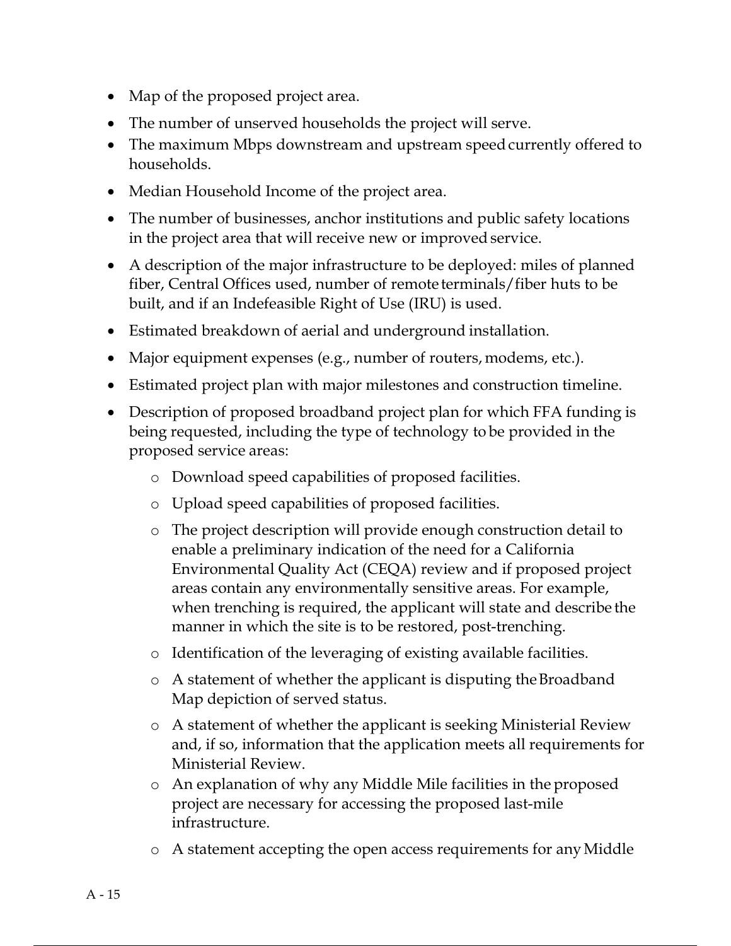- Map of the proposed project area.
- The number of unserved households the project will serve.
- The maximum Mbps downstream and upstream speed currently offered to households.
- Median Household Income of the project area.
- The number of businesses, anchor institutions and public safety locations in the project area that will receive new or improved service.
- A description of the major infrastructure to be deployed: miles of planned fiber, Central Offices used, number of remote terminals/fiber huts to be built, and if an Indefeasible Right of Use (IRU) is used.
- Estimated breakdown of aerial and underground installation.
- Major equipment expenses (e.g., number of routers, modems, etc.).
- Estimated project plan with major milestones and construction timeline.
- Description of proposed broadband project plan for which FFA funding is being requested, including the type of technology to be provided in the proposed service areas:
	- o Download speed capabilities of proposed facilities.
	- o Upload speed capabilities of proposed facilities.
	- o The project description will provide enough construction detail to enable a preliminary indication of the need for a California Environmental Quality Act (CEQA) review and if proposed project areas contain any environmentally sensitive areas. For example, when trenching is required, the applicant will state and describe the manner in which the site is to be restored, post-trenching.
	- o Identification of the leveraging of existing available facilities.
	- o A statement of whether the applicant is disputing the Broadband Map depiction of served status.
	- o A statement of whether the applicant is seeking Ministerial Review and, if so, information that the application meets all requirements for Ministerial Review.
	- o An explanation of why any Middle Mile facilities in the proposed project are necessary for accessing the proposed last-mile infrastructure.
	- o A statement accepting the open access requirements for any Middle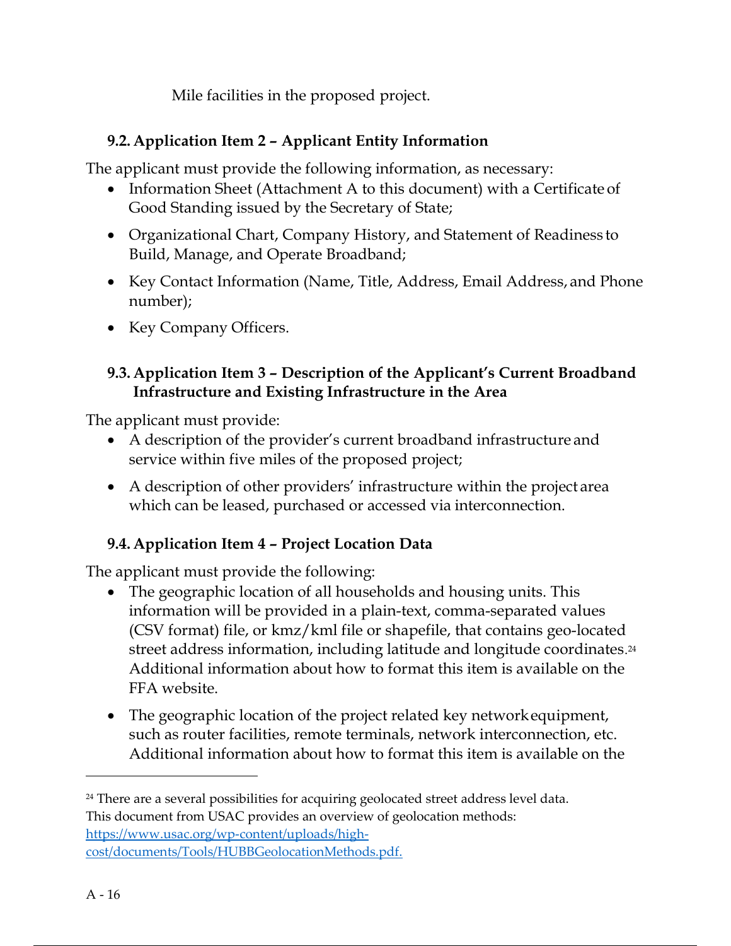Mile facilities in the proposed project.

# 9.2. Application Item 2 – Applicant Entity Information

The applicant must provide the following information, as necessary:

- Information Sheet (Attachment A to this document) with a Certificate of Good Standing issued by the Secretary of State;
- Organizational Chart, Company History, and Statement of Readiness to Build, Manage, and Operate Broadband;
- Key Contact Information (Name, Title, Address, Email Address, and Phone number);
- Key Company Officers.

### 9.3. Application Item 3 – Description of the Applicant's Current Broadband Infrastructure and Existing Infrastructure in the Area

The applicant must provide:

- A description of the provider's current broadband infrastructure and service within five miles of the proposed project;
- A description of other providers' infrastructure within the project area which can be leased, purchased or accessed via interconnection.

# 9.4. Application Item 4 – Project Location Data

The applicant must provide the following:

- The geographic location of all households and housing units. This information will be provided in a plain-text, comma-separated values (CSV format) file, or kmz/kml file or shapefile, that contains geo-located street address information, including latitude and longitude coordinates. 24 Additional information about how to format this item is available on the FFA website.
- The geographic location of the project related key network equipment, such as router facilities, remote terminals, network interconnection, etc. Additional information about how to format this item is available on the

 $24$  There are a several possibilities for acquiring geolocated street address level data. This document from USAC provides an overview of geolocation methods:

https://www.usac.org/wp-content/uploads/highcost/documents/Tools/HUBBGeolocationMethods.pdf.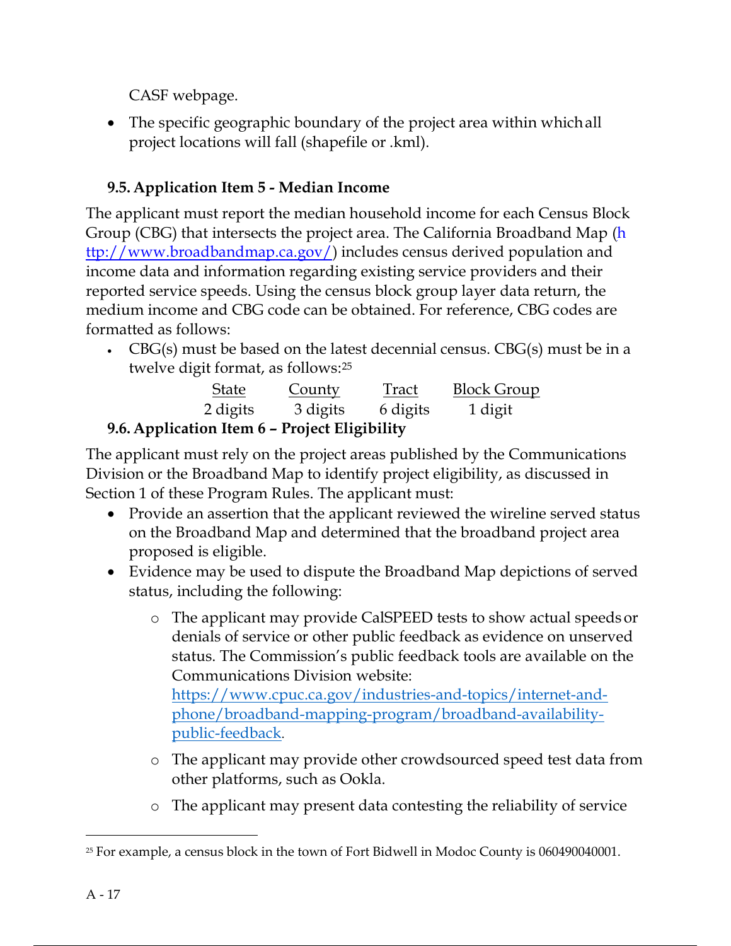CASF webpage.

 The specific geographic boundary of the project area within which all project locations will fall (shapefile or .kml).

# 9.5. Application Item 5 - Median Income

The applicant must report the median household income for each Census Block Group (CBG) that intersects the project area. The California Broadband Map (h ttp://www.broadbandmap.ca.gov/) includes census derived population and income data and information regarding existing service providers and their reported service speeds. Using the census block group layer data return, the medium income and CBG code can be obtained. For reference, CBG codes are formatted as follows:

CBG(s) must be based on the latest decennial census. CBG(s) must be in a twelve digit format, as follows:<sup>25</sup>

| <b>State</b>                             | <b>County</b> | Tract    | <b>Block Group</b> |  |  |
|------------------------------------------|---------------|----------|--------------------|--|--|
| 2 digits                                 | 3 digits      | 6 digits | 1 digit            |  |  |
| Annlication Item 6 - Project Fligibility |               |          |                    |  |  |

# 9.6. Application Item 6 – Project Eligibility

The applicant must rely on the project areas published by the Communications Division or the Broadband Map to identify project eligibility, as discussed in Section 1 of these Program Rules. The applicant must:

- Provide an assertion that the applicant reviewed the wireline served status on the Broadband Map and determined that the broadband project area proposed is eligible.
- Evidence may be used to dispute the Broadband Map depictions of served status, including the following:
	- o The applicant may provide CalSPEED tests to show actual speeds or denials of service or other public feedback as evidence on unserved status. The Commission's public feedback tools are available on the Communications Division website:

https://www.cpuc.ca.gov/industries-and-topics/internet-andphone/broadband-mapping-program/broadband-availabilitypublic-feedback.

- o The applicant may provide other crowdsourced speed test data from other platforms, such as Ookla.
- o The applicant may present data contesting the reliability of service

<sup>25</sup> For example, a census block in the town of Fort Bidwell in Modoc County is 060490040001.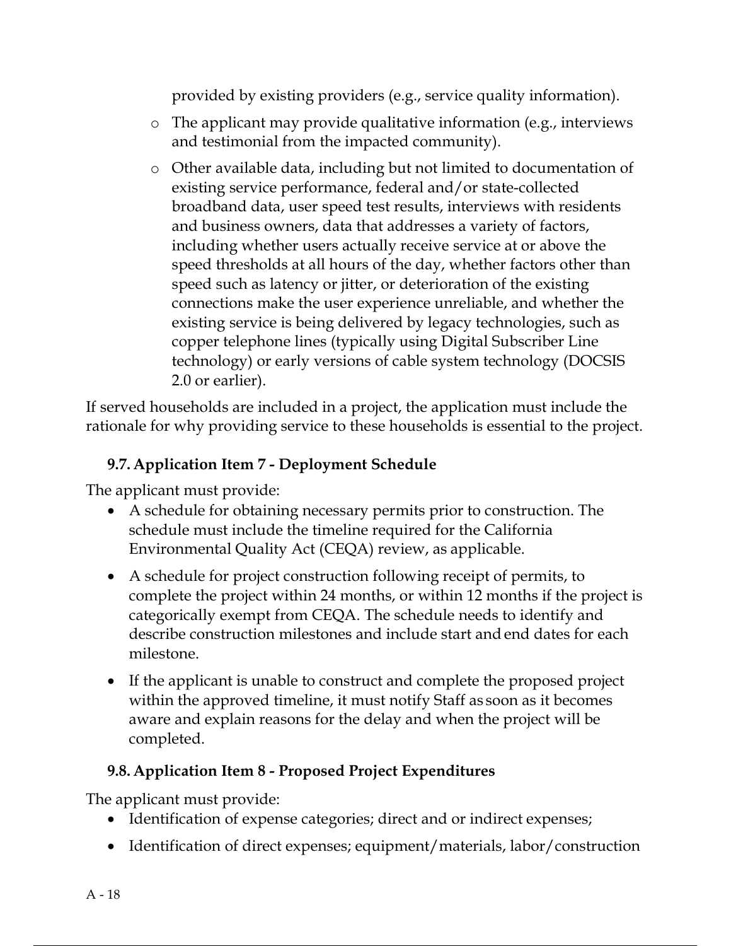provided by existing providers (e.g., service quality information).

- o The applicant may provide qualitative information (e.g., interviews and testimonial from the impacted community).
- o Other available data, including but not limited to documentation of existing service performance, federal and/or state-collected broadband data, user speed test results, interviews with residents and business owners, data that addresses a variety of factors, including whether users actually receive service at or above the speed thresholds at all hours of the day, whether factors other than speed such as latency or jitter, or deterioration of the existing connections make the user experience unreliable, and whether the existing service is being delivered by legacy technologies, such as copper telephone lines (typically using Digital Subscriber Line technology) or early versions of cable system technology (DOCSIS 2.0 or earlier).

If served households are included in a project, the application must include the rationale for why providing service to these households is essential to the project.

### 9.7. Application Item 7 - Deployment Schedule

The applicant must provide:

- A schedule for obtaining necessary permits prior to construction. The schedule must include the timeline required for the California Environmental Quality Act (CEQA) review, as applicable.
- A schedule for project construction following receipt of permits, to complete the project within 24 months, or within 12 months if the project is categorically exempt from CEQA. The schedule needs to identify and describe construction milestones and include start and end dates for each milestone.
- If the applicant is unable to construct and complete the proposed project within the approved timeline, it must notify Staff as soon as it becomes aware and explain reasons for the delay and when the project will be completed.

### 9.8. Application Item 8 - Proposed Project Expenditures

The applicant must provide:

- Identification of expense categories; direct and or indirect expenses;
- Identification of direct expenses; equipment/materials, labor/construction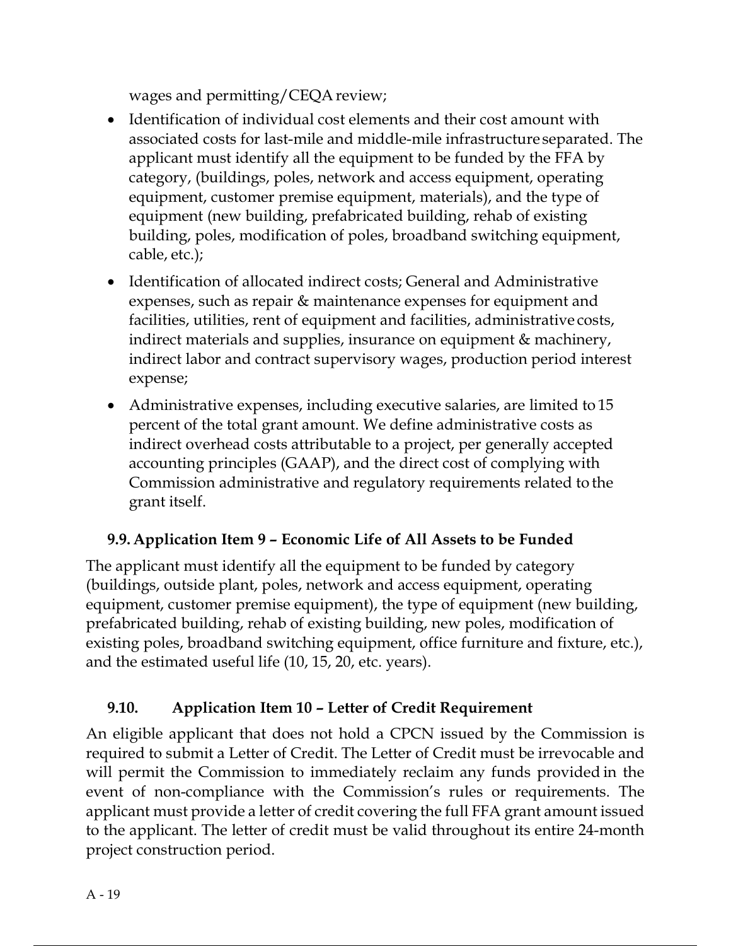wages and permitting/CEQA review;

- Identification of individual cost elements and their cost amount with associated costs for last-mile and middle-mile infrastructure separated. The applicant must identify all the equipment to be funded by the FFA by category, (buildings, poles, network and access equipment, operating equipment, customer premise equipment, materials), and the type of equipment (new building, prefabricated building, rehab of existing building, poles, modification of poles, broadband switching equipment, cable, etc.);
- Identification of allocated indirect costs; General and Administrative expenses, such as repair & maintenance expenses for equipment and facilities, utilities, rent of equipment and facilities, administrative costs, indirect materials and supplies, insurance on equipment & machinery, indirect labor and contract supervisory wages, production period interest expense;
- Administrative expenses, including executive salaries, are limited to 15 percent of the total grant amount. We define administrative costs as indirect overhead costs attributable to a project, per generally accepted accounting principles (GAAP), and the direct cost of complying with Commission administrative and regulatory requirements related to the grant itself.

# 9.9. Application Item 9 – Economic Life of All Assets to be Funded

The applicant must identify all the equipment to be funded by category (buildings, outside plant, poles, network and access equipment, operating equipment, customer premise equipment), the type of equipment (new building, prefabricated building, rehab of existing building, new poles, modification of existing poles, broadband switching equipment, office furniture and fixture, etc.), and the estimated useful life (10, 15, 20, etc. years).

# 9.10. Application Item 10 – Letter of Credit Requirement

An eligible applicant that does not hold a CPCN issued by the Commission is required to submit a Letter of Credit. The Letter of Credit must be irrevocable and will permit the Commission to immediately reclaim any funds provided in the event of non-compliance with the Commission's rules or requirements. The applicant must provide a letter of credit covering the full FFA grant amount issued to the applicant. The letter of credit must be valid throughout its entire 24-month project construction period.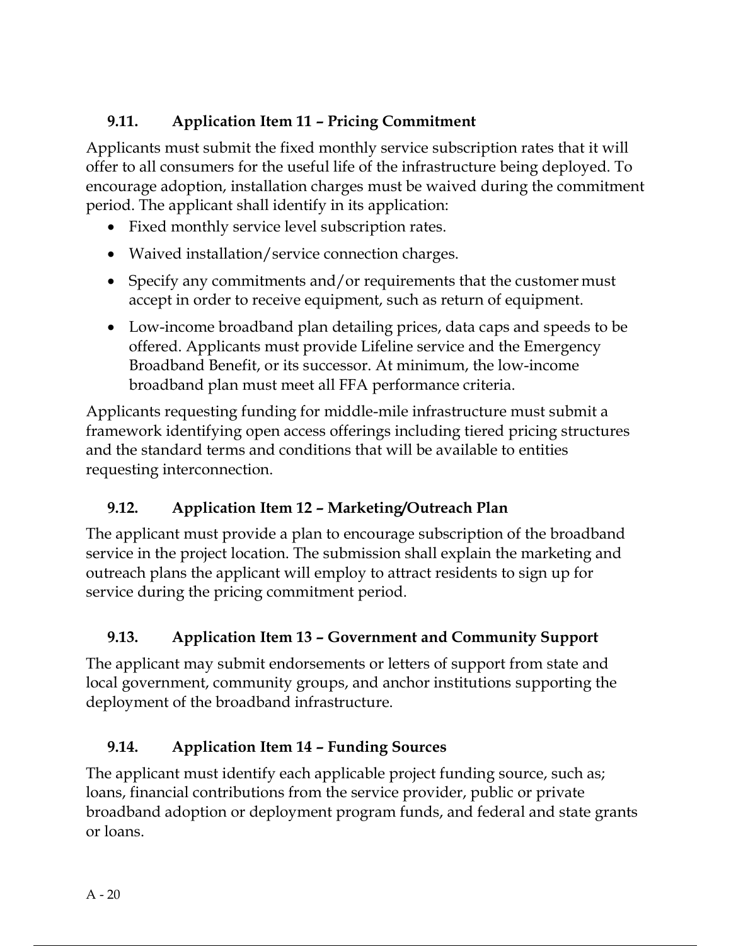# 9.11. Application Item 11 – Pricing Commitment

Applicants must submit the fixed monthly service subscription rates that it will offer to all consumers for the useful life of the infrastructure being deployed. To encourage adoption, installation charges must be waived during the commitment period. The applicant shall identify in its application:

- Fixed monthly service level subscription rates.
- Waived installation/service connection charges.
- Specify any commitments and/or requirements that the customer must accept in order to receive equipment, such as return of equipment.
- Low-income broadband plan detailing prices, data caps and speeds to be offered. Applicants must provide Lifeline service and the Emergency Broadband Benefit, or its successor. At minimum, the low-income broadband plan must meet all FFA performance criteria.

Applicants requesting funding for middle-mile infrastructure must submit a framework identifying open access offerings including tiered pricing structures and the standard terms and conditions that will be available to entities requesting interconnection.

# 9.12. Application Item 12 – Marketing/Outreach Plan

The applicant must provide a plan to encourage subscription of the broadband service in the project location. The submission shall explain the marketing and outreach plans the applicant will employ to attract residents to sign up for service during the pricing commitment period.

# 9.13. Application Item 13 – Government and Community Support

The applicant may submit endorsements or letters of support from state and local government, community groups, and anchor institutions supporting the deployment of the broadband infrastructure.

# 9.14. Application Item 14 – Funding Sources

The applicant must identify each applicable project funding source, such as; loans, financial contributions from the service provider, public or private broadband adoption or deployment program funds, and federal and state grants or loans.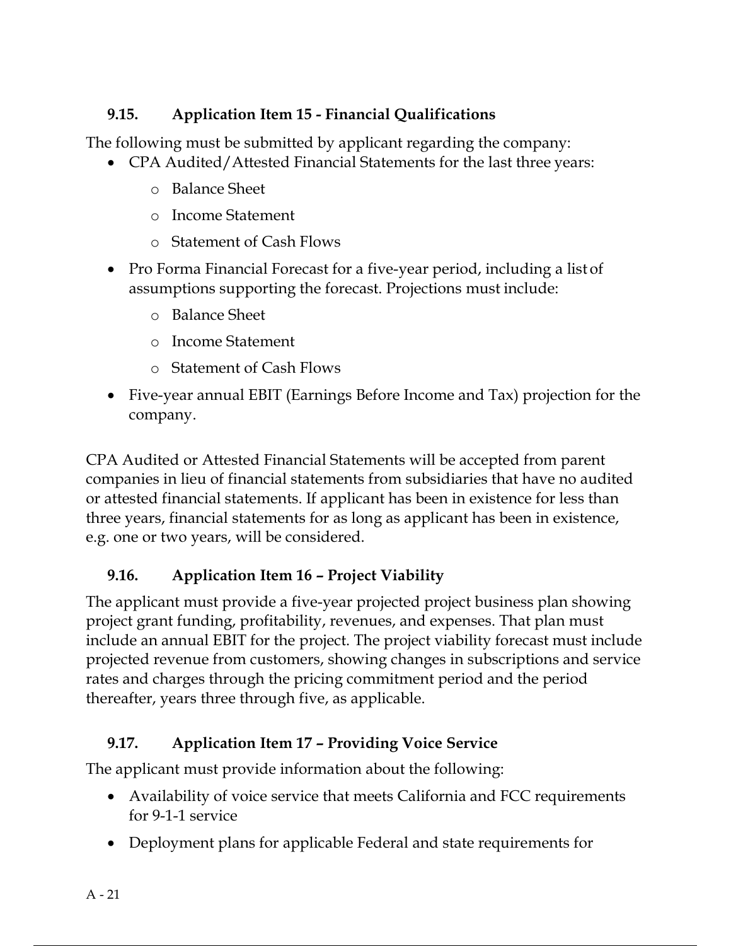## 9.15. Application Item 15 - Financial Qualifications

The following must be submitted by applicant regarding the company:

- CPA Audited/Attested Financial Statements for the last three years:
	- o Balance Sheet
	- o Income Statement
	- o Statement of Cash Flows
- Pro Forma Financial Forecast for a five-year period, including a list of assumptions supporting the forecast. Projections must include:
	- o Balance Sheet
	- o Income Statement
	- o Statement of Cash Flows
- Five-year annual EBIT (Earnings Before Income and Tax) projection for the company.

CPA Audited or Attested Financial Statements will be accepted from parent companies in lieu of financial statements from subsidiaries that have no audited or attested financial statements. If applicant has been in existence for less than three years, financial statements for as long as applicant has been in existence, e.g. one or two years, will be considered.

# 9.16. Application Item 16 – Project Viability

The applicant must provide a five-year projected project business plan showing project grant funding, profitability, revenues, and expenses. That plan must include an annual EBIT for the project. The project viability forecast must include projected revenue from customers, showing changes in subscriptions and service rates and charges through the pricing commitment period and the period thereafter, years three through five, as applicable.

# 9.17. Application Item 17 – Providing Voice Service

The applicant must provide information about the following:

- Availability of voice service that meets California and FCC requirements for 9-1-1 service
- Deployment plans for applicable Federal and state requirements for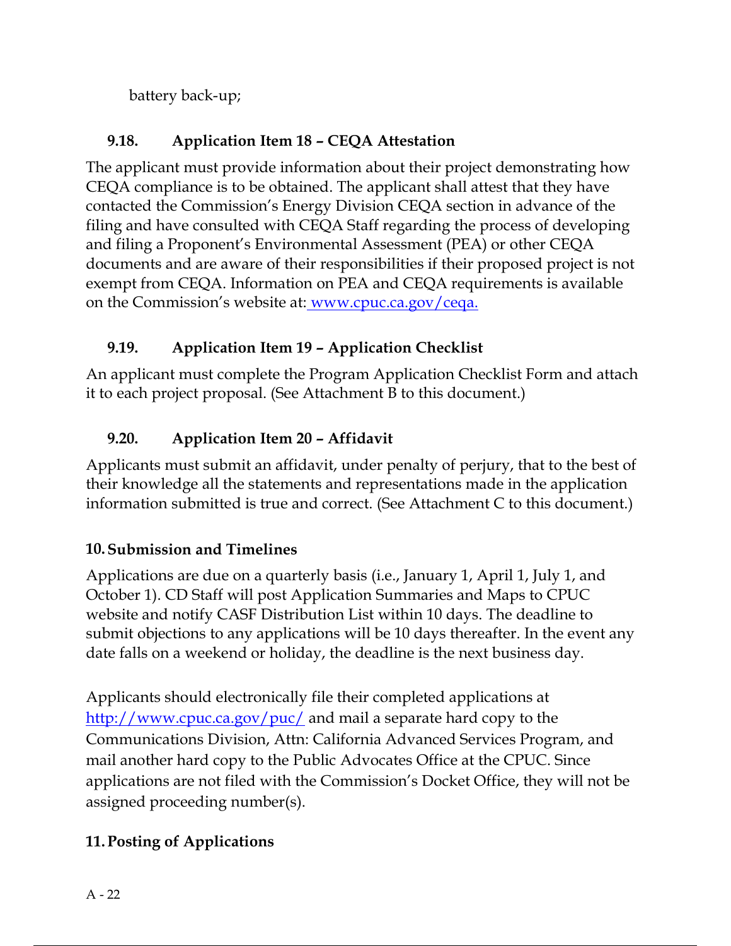battery back-up;

# 9.18. Application Item 18 – CEQA Attestation

The applicant must provide information about their project demonstrating how CEQA compliance is to be obtained. The applicant shall attest that they have contacted the Commission's Energy Division CEQA section in advance of the filing and have consulted with CEQA Staff regarding the process of developing and filing a Proponent's Environmental Assessment (PEA) or other CEQA documents and are aware of their responsibilities if their proposed project is not exempt from CEQA. Information on PEA and CEQA requirements is available on the Commission's website at: www.cpuc.ca.gov/ceqa.

# 9.19. Application Item 19 – Application Checklist

An applicant must complete the Program Application Checklist Form and attach it to each project proposal. (See Attachment B to this document.)

# 9.20. Application Item 20 – Affidavit

Applicants must submit an affidavit, under penalty of perjury, that to the best of their knowledge all the statements and representations made in the application information submitted is true and correct. (See Attachment C to this document.)

# 10.Submission and Timelines

Applications are due on a quarterly basis (i.e., January 1, April 1, July 1, and October 1). CD Staff will post Application Summaries and Maps to CPUC website and notify CASF Distribution List within 10 days. The deadline to submit objections to any applications will be 10 days thereafter. In the event any date falls on a weekend or holiday, the deadline is the next business day.

Applicants should electronically file their completed applications at http://www.cpuc.ca.gov/puc/ and mail a separate hard copy to the Communications Division, Attn: California Advanced Services Program, and mail another hard copy to the Public Advocates Office at the CPUC. Since applications are not filed with the Commission's Docket Office, they will not be assigned proceeding number(s).

# 11.Posting of Applications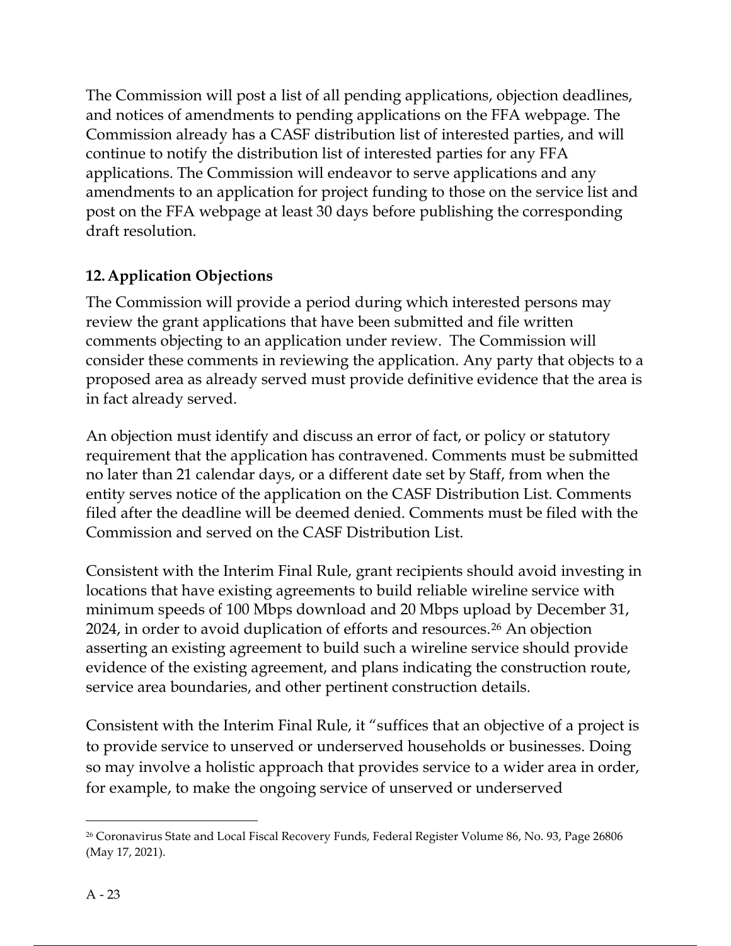The Commission will post a list of all pending applications, objection deadlines, and notices of amendments to pending applications on the FFA webpage. The Commission already has a CASF distribution list of interested parties, and will continue to notify the distribution list of interested parties for any FFA applications. The Commission will endeavor to serve applications and any amendments to an application for project funding to those on the service list and post on the FFA webpage at least 30 days before publishing the corresponding draft resolution.

## 12.Application Objections

The Commission will provide a period during which interested persons may review the grant applications that have been submitted and file written comments objecting to an application under review. The Commission will consider these comments in reviewing the application. Any party that objects to a proposed area as already served must provide definitive evidence that the area is in fact already served.

An objection must identify and discuss an error of fact, or policy or statutory requirement that the application has contravened. Comments must be submitted no later than 21 calendar days, or a different date set by Staff, from when the entity serves notice of the application on the CASF Distribution List. Comments filed after the deadline will be deemed denied. Comments must be filed with the Commission and served on the CASF Distribution List.

Consistent with the Interim Final Rule, grant recipients should avoid investing in locations that have existing agreements to build reliable wireline service with minimum speeds of 100 Mbps download and 20 Mbps upload by December 31, 2024, in order to avoid duplication of efforts and resources.<sup>26</sup> An objection asserting an existing agreement to build such a wireline service should provide evidence of the existing agreement, and plans indicating the construction route, service area boundaries, and other pertinent construction details.

Consistent with the Interim Final Rule, it "suffices that an objective of a project is to provide service to unserved or underserved households or businesses. Doing so may involve a holistic approach that provides service to a wider area in order, for example, to make the ongoing service of unserved or underserved

<sup>26</sup> Coronavirus State and Local Fiscal Recovery Funds, Federal Register Volume 86, No. 93, Page 26806 (May 17, 2021).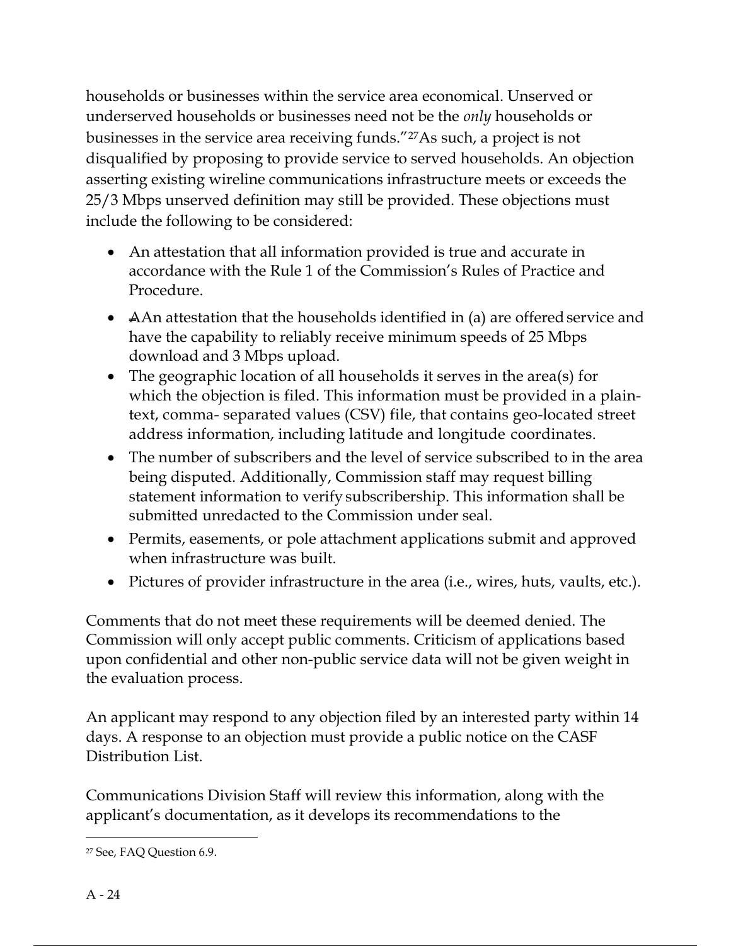households or businesses within the service area economical. Unserved or underserved households or businesses need not be the *only* households or businesses in the service area receiving funds."27As such, a project is not disqualified by proposing to provide service to served households. An objection asserting existing wireline communications infrastructure meets or exceeds the 25/3 Mbps unserved definition may still be provided. These objections must include the following to be considered:

- An attestation that all information provided is true and accurate in accordance with the Rule 1 of the Commission's Rules of Practice and Procedure.
- AAn attestation that the households identified in (a) are offered service and have the capability to reliably receive minimum speeds of 25 Mbps download and 3 Mbps upload.
- The geographic location of all households it serves in the area(s) for which the objection is filed. This information must be provided in a plaintext, comma- separated values (CSV) file, that contains geo-located street address information, including latitude and longitude coordinates.
- The number of subscribers and the level of service subscribed to in the area being disputed. Additionally, Commission staff may request billing statement information to verify subscribership. This information shall be submitted unredacted to the Commission under seal.
- Permits, easements, or pole attachment applications submit and approved when infrastructure was built.
- Pictures of provider infrastructure in the area (i.e., wires, huts, vaults, etc.).

Comments that do not meet these requirements will be deemed denied. The Commission will only accept public comments. Criticism of applications based upon confidential and other non-public service data will not be given weight in the evaluation process.

An applicant may respond to any objection filed by an interested party within 14 days. A response to an objection must provide a public notice on the CASF Distribution List.

Communications Division Staff will review this information, along with the applicant's documentation, as it develops its recommendations to the

<sup>27</sup> See, FAQ Question 6.9.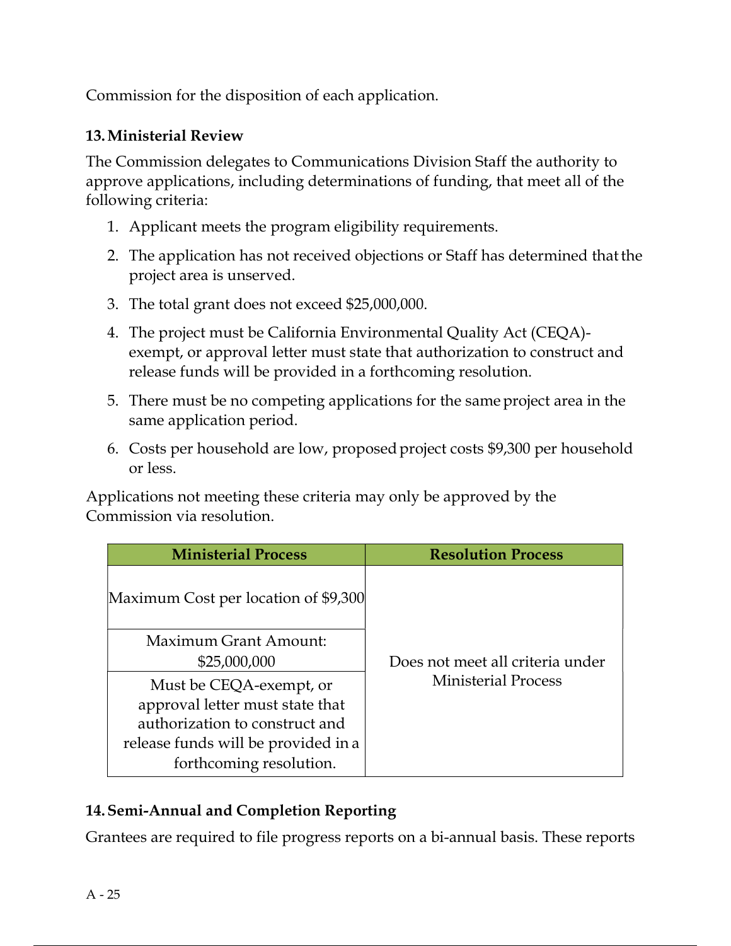Commission for the disposition of each application.

### 13.Ministerial Review

The Commission delegates to Communications Division Staff the authority to approve applications, including determinations of funding, that meet all of the following criteria:

- 1. Applicant meets the program eligibility requirements.
- 2. The application has not received objections or Staff has determined that the project area is unserved.
- 3. The total grant does not exceed \$25,000,000.
- 4. The project must be California Environmental Quality Act (CEQA) exempt, or approval letter must state that authorization to construct and release funds will be provided in a forthcoming resolution.
- 5. There must be no competing applications for the same project area in the same application period.
- 6. Costs per household are low, proposed project costs \$9,300 per household or less.

Applications not meeting these criteria may only be approved by the Commission via resolution.

| <b>Ministerial Process</b>                                                                                                                                     | <b>Resolution Process</b>        |
|----------------------------------------------------------------------------------------------------------------------------------------------------------------|----------------------------------|
| Maximum Cost per location of \$9,300                                                                                                                           |                                  |
| Maximum Grant Amount:<br>\$25,000,000                                                                                                                          | Does not meet all criteria under |
| Must be CEQA-exempt, or<br>approval letter must state that<br>authorization to construct and<br>release funds will be provided in a<br>forthcoming resolution. | <b>Ministerial Process</b>       |

### 14.Semi-Annual and Completion Reporting

Grantees are required to file progress reports on a bi-annual basis. These reports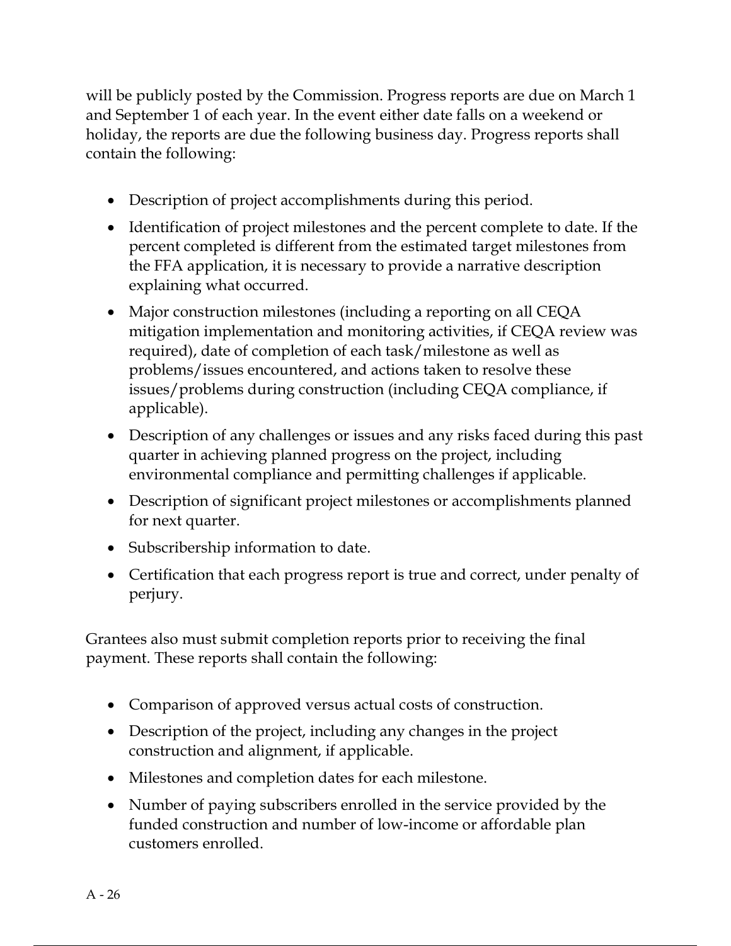will be publicly posted by the Commission. Progress reports are due on March 1 and September 1 of each year. In the event either date falls on a weekend or holiday, the reports are due the following business day. Progress reports shall contain the following:

- Description of project accomplishments during this period.
- Identification of project milestones and the percent complete to date. If the percent completed is different from the estimated target milestones from the FFA application, it is necessary to provide a narrative description explaining what occurred.
- Major construction milestones (including a reporting on all CEQA mitigation implementation and monitoring activities, if CEQA review was required), date of completion of each task/milestone as well as problems/issues encountered, and actions taken to resolve these issues/problems during construction (including CEQA compliance, if applicable).
- Description of any challenges or issues and any risks faced during this past quarter in achieving planned progress on the project, including environmental compliance and permitting challenges if applicable.
- Description of significant project milestones or accomplishments planned for next quarter.
- Subscribership information to date.
- Certification that each progress report is true and correct, under penalty of perjury.

Grantees also must submit completion reports prior to receiving the final payment. These reports shall contain the following:

- Comparison of approved versus actual costs of construction.
- Description of the project, including any changes in the project construction and alignment, if applicable.
- Milestones and completion dates for each milestone.
- Number of paying subscribers enrolled in the service provided by the funded construction and number of low-income or affordable plan customers enrolled.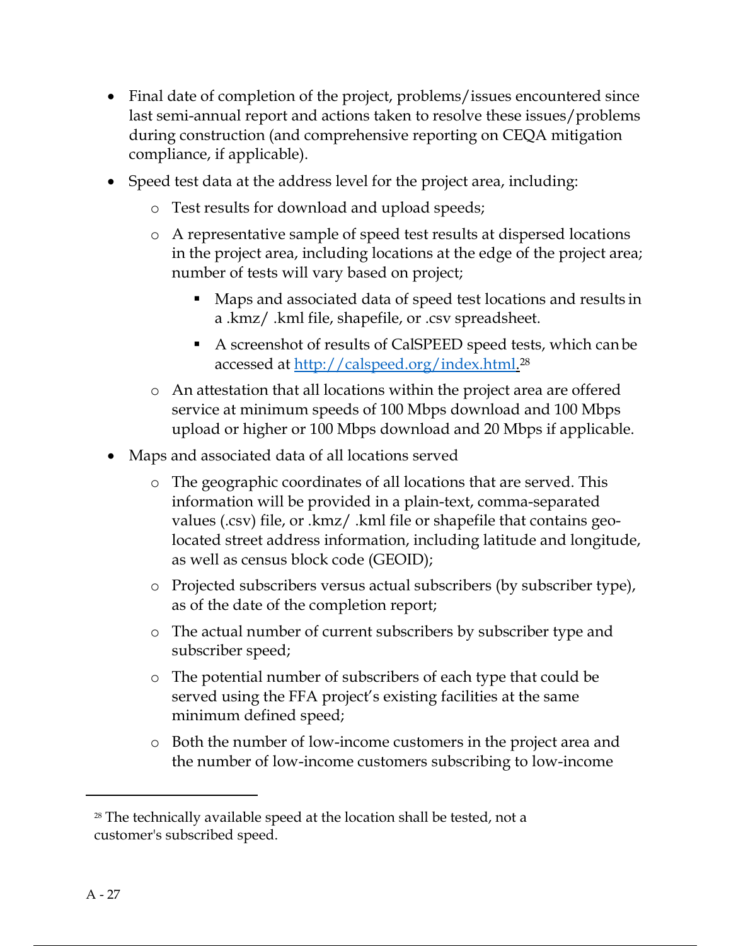- Final date of completion of the project, problems/issues encountered since last semi-annual report and actions taken to resolve these issues/problems during construction (and comprehensive reporting on CEQA mitigation compliance, if applicable).
- Speed test data at the address level for the project area, including:
	- o Test results for download and upload speeds;
	- o A representative sample of speed test results at dispersed locations in the project area, including locations at the edge of the project area; number of tests will vary based on project;
		- Maps and associated data of speed test locations and results in a .kmz/ .kml file, shapefile, or .csv spreadsheet.
		- A screenshot of results of CalSPEED speed tests, which can be accessed at <u>http://calspeed.org/index.html.</u><sup>28</sup>
	- o An attestation that all locations within the project area are offered service at minimum speeds of 100 Mbps download and 100 Mbps upload or higher or 100 Mbps download and 20 Mbps if applicable.
- Maps and associated data of all locations served
	- o The geographic coordinates of all locations that are served. This information will be provided in a plain-text, comma-separated values (.csv) file, or .kmz/ .kml file or shapefile that contains geolocated street address information, including latitude and longitude, as well as census block code (GEOID);
	- o Projected subscribers versus actual subscribers (by subscriber type), as of the date of the completion report;
	- o The actual number of current subscribers by subscriber type and subscriber speed;
	- o The potential number of subscribers of each type that could be served using the FFA project's existing facilities at the same minimum defined speed;
	- o Both the number of low-income customers in the project area and the number of low-income customers subscribing to low-income

<sup>&</sup>lt;sup>28</sup> The technically available speed at the location shall be tested, not a customer's subscribed speed.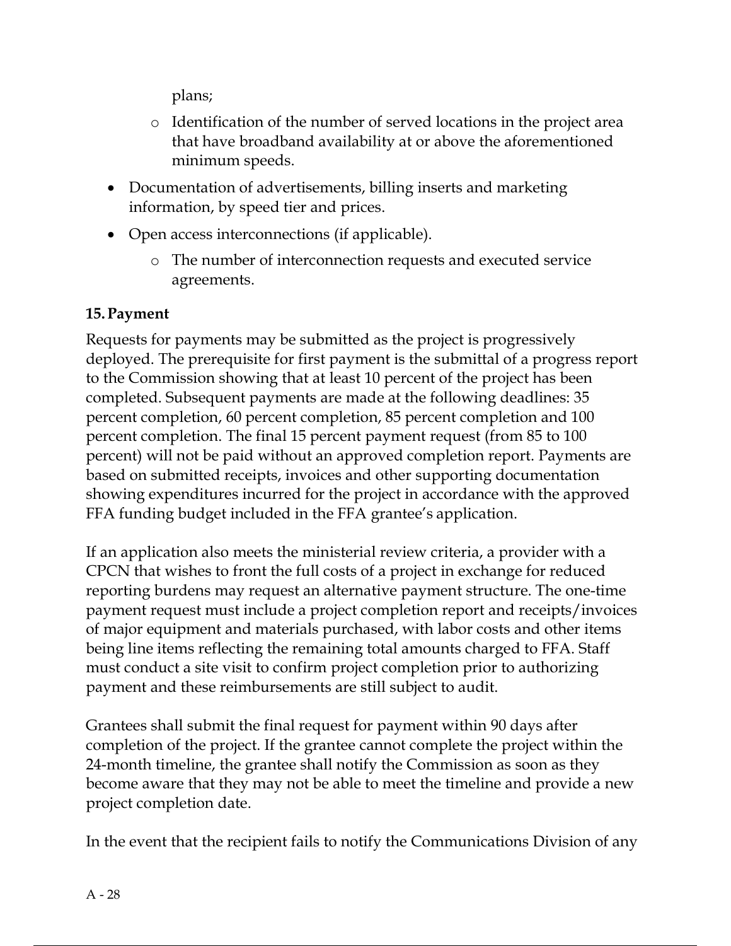plans;

- o Identification of the number of served locations in the project area that have broadband availability at or above the aforementioned minimum speeds.
- Documentation of advertisements, billing inserts and marketing information, by speed tier and prices.
- Open access interconnections (if applicable).
	- o The number of interconnection requests and executed service agreements.

## 15.Payment

Requests for payments may be submitted as the project is progressively deployed. The prerequisite for first payment is the submittal of a progress report to the Commission showing that at least 10 percent of the project has been completed. Subsequent payments are made at the following deadlines: 35 percent completion, 60 percent completion, 85 percent completion and 100 percent completion. The final 15 percent payment request (from 85 to 100 percent) will not be paid without an approved completion report. Payments are based on submitted receipts, invoices and other supporting documentation showing expenditures incurred for the project in accordance with the approved FFA funding budget included in the FFA grantee's application.

If an application also meets the ministerial review criteria, a provider with a CPCN that wishes to front the full costs of a project in exchange for reduced reporting burdens may request an alternative payment structure. The one-time payment request must include a project completion report and receipts/invoices of major equipment and materials purchased, with labor costs and other items being line items reflecting the remaining total amounts charged to FFA. Staff must conduct a site visit to confirm project completion prior to authorizing payment and these reimbursements are still subject to audit.

Grantees shall submit the final request for payment within 90 days after completion of the project. If the grantee cannot complete the project within the 24-month timeline, the grantee shall notify the Commission as soon as they become aware that they may not be able to meet the timeline and provide a new project completion date.

In the event that the recipient fails to notify the Communications Division of any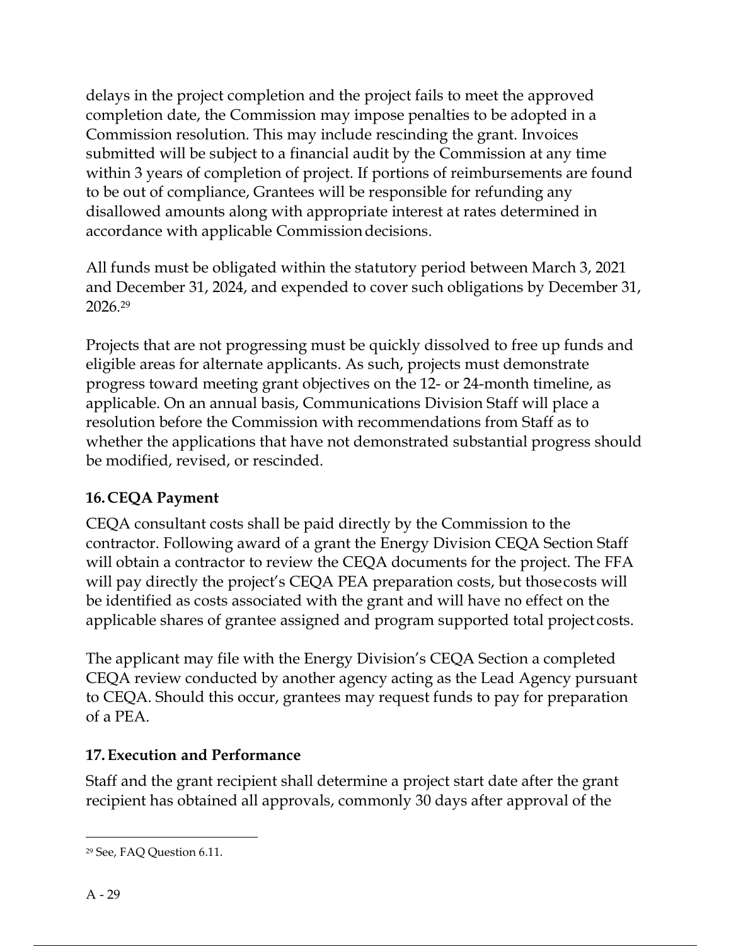delays in the project completion and the project fails to meet the approved completion date, the Commission may impose penalties to be adopted in a Commission resolution. This may include rescinding the grant. Invoices submitted will be subject to a financial audit by the Commission at any time within 3 years of completion of project. If portions of reimbursements are found to be out of compliance, Grantees will be responsible for refunding any disallowed amounts along with appropriate interest at rates determined in accordance with applicable Commission decisions.

All funds must be obligated within the statutory period between March 3, 2021 and December 31, 2024, and expended to cover such obligations by December 31, 2026. 29

Projects that are not progressing must be quickly dissolved to free up funds and eligible areas for alternate applicants. As such, projects must demonstrate progress toward meeting grant objectives on the 12- or 24-month timeline, as applicable. On an annual basis, Communications Division Staff will place a resolution before the Commission with recommendations from Staff as to whether the applications that have not demonstrated substantial progress should be modified, revised, or rescinded.

# 16.CEQA Payment

CEQA consultant costs shall be paid directly by the Commission to the contractor. Following award of a grant the Energy Division CEQA Section Staff will obtain a contractor to review the CEQA documents for the project. The FFA will pay directly the project's CEQA PEA preparation costs, but those costs will be identified as costs associated with the grant and will have no effect on the applicable shares of grantee assigned and program supported total project costs.

The applicant may file with the Energy Division's CEQA Section a completed CEQA review conducted by another agency acting as the Lead Agency pursuant to CEQA. Should this occur, grantees may request funds to pay for preparation of a PEA.

# 17.Execution and Performance

Staff and the grant recipient shall determine a project start date after the grant recipient has obtained all approvals, commonly 30 days after approval of the

<sup>29</sup> See, FAQ Question 6.11.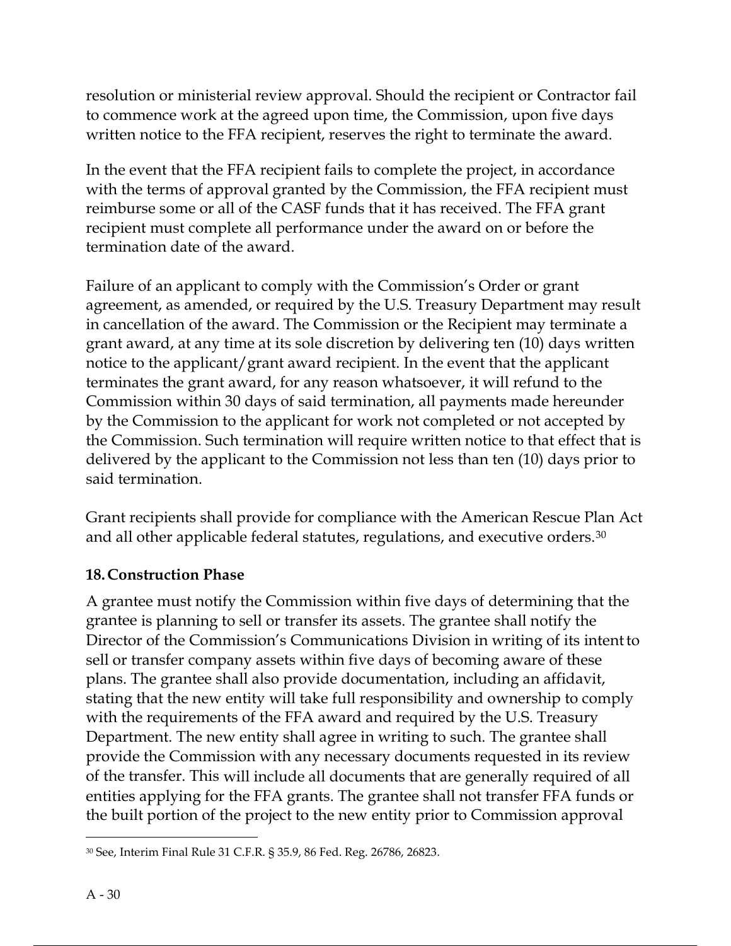resolution or ministerial review approval. Should the recipient or Contractor fail to commence work at the agreed upon time, the Commission, upon five days written notice to the FFA recipient, reserves the right to terminate the award.

In the event that the FFA recipient fails to complete the project, in accordance with the terms of approval granted by the Commission, the FFA recipient must reimburse some or all of the CASF funds that it has received. The FFA grant recipient must complete all performance under the award on or before the termination date of the award.

Failure of an applicant to comply with the Commission's Order or grant agreement, as amended, or required by the U.S. Treasury Department may result in cancellation of the award. The Commission or the Recipient may terminate a grant award, at any time at its sole discretion by delivering ten (10) days written notice to the applicant/grant award recipient. In the event that the applicant terminates the grant award, for any reason whatsoever, it will refund to the Commission within 30 days of said termination, all payments made hereunder by the Commission to the applicant for work not completed or not accepted by the Commission. Such termination will require written notice to that effect that is delivered by the applicant to the Commission not less than ten (10) days prior to said termination.

Grant recipients shall provide for compliance with the American Rescue Plan Act and all other applicable federal statutes, regulations, and executive orders.<sup>30</sup>

### 18.Construction Phase

A grantee must notify the Commission within five days of determining that the grantee is planning to sell or transfer its assets. The grantee shall notify the Director of the Commission's Communications Division in writing of its intent to sell or transfer company assets within five days of becoming aware of these plans. The grantee shall also provide documentation, including an affidavit, stating that the new entity will take full responsibility and ownership to comply with the requirements of the FFA award and required by the U.S. Treasury Department. The new entity shall agree in writing to such. The grantee shall provide the Commission with any necessary documents requested in its review of the transfer. This will include all documents that are generally required of all entities applying for the FFA grants. The grantee shall not transfer FFA funds or the built portion of the project to the new entity prior to Commission approval

<sup>30</sup> See, Interim Final Rule 31 C.F.R. § 35.9, 86 Fed. Reg. 26786, 26823.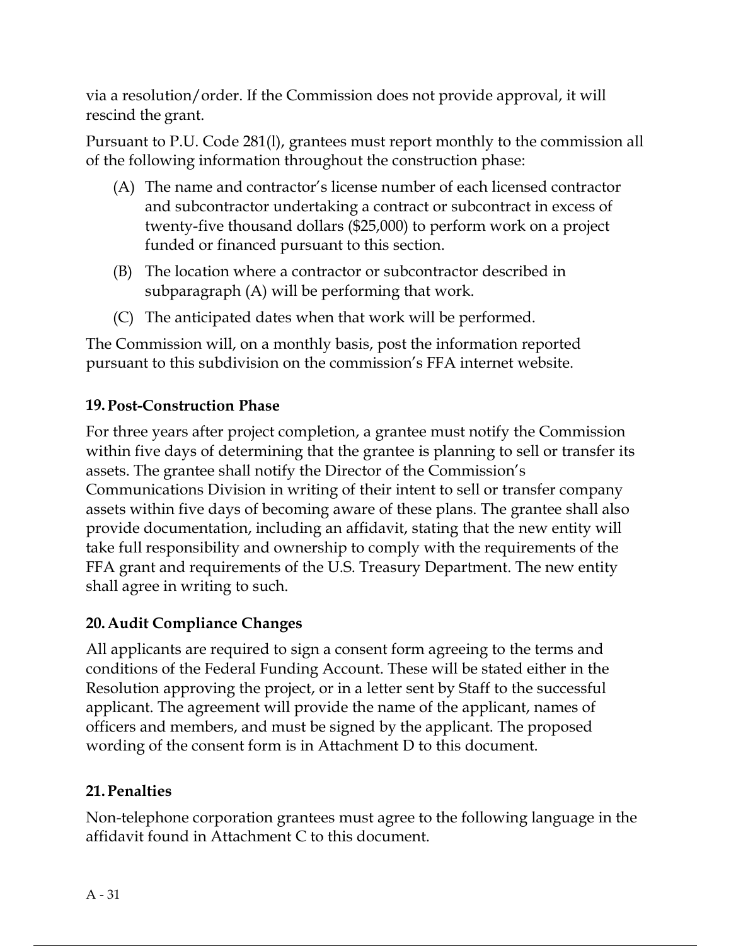via a resolution/order. If the Commission does not provide approval, it will rescind the grant.

Pursuant to P.U. Code 281(l), grantees must report monthly to the commission all of the following information throughout the construction phase:

- (A) The name and contractor's license number of each licensed contractor and subcontractor undertaking a contract or subcontract in excess of twenty-five thousand dollars (\$25,000) to perform work on a project funded or financed pursuant to this section.
- (B) The location where a contractor or subcontractor described in subparagraph (A) will be performing that work.
- (C) The anticipated dates when that work will be performed.

The Commission will, on a monthly basis, post the information reported pursuant to this subdivision on the commission's FFA internet website.

## 19.Post-Construction Phase

For three years after project completion, a grantee must notify the Commission within five days of determining that the grantee is planning to sell or transfer its assets. The grantee shall notify the Director of the Commission's Communications Division in writing of their intent to sell or transfer company assets within five days of becoming aware of these plans. The grantee shall also provide documentation, including an affidavit, stating that the new entity will take full responsibility and ownership to comply with the requirements of the FFA grant and requirements of the U.S. Treasury Department. The new entity shall agree in writing to such.

# 20.Audit Compliance Changes

All applicants are required to sign a consent form agreeing to the terms and conditions of the Federal Funding Account. These will be stated either in the Resolution approving the project, or in a letter sent by Staff to the successful applicant. The agreement will provide the name of the applicant, names of officers and members, and must be signed by the applicant. The proposed wording of the consent form is in Attachment D to this document.

# 21.Penalties

Non-telephone corporation grantees must agree to the following language in the affidavit found in Attachment C to this document.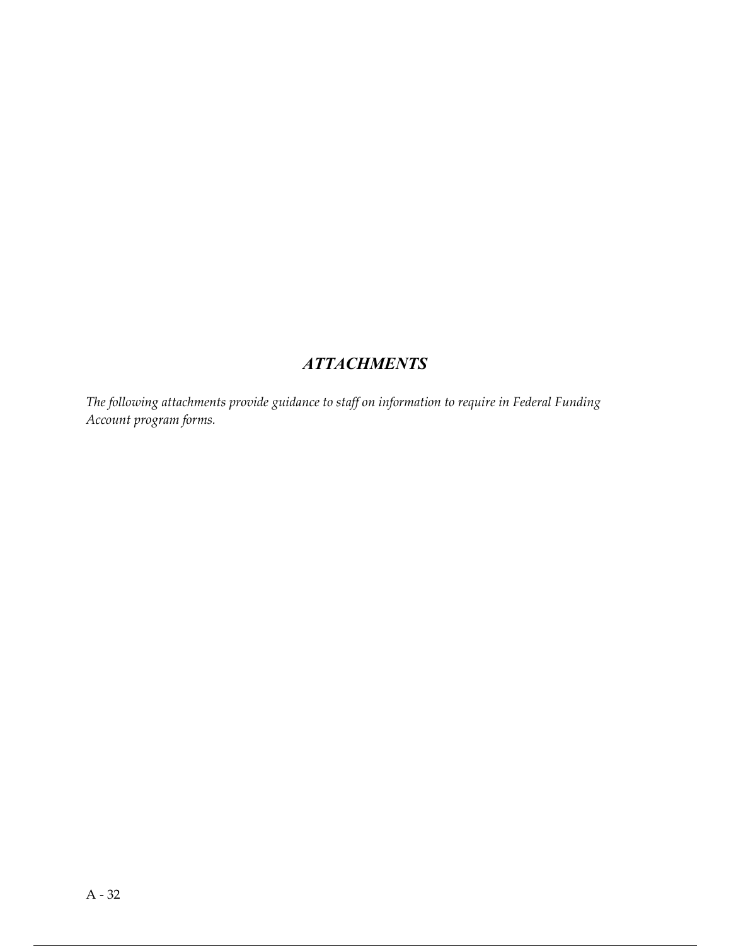# **ATTACHMENTS**

The following attachments provide guidance to staff on information to require in Federal Funding Account program forms.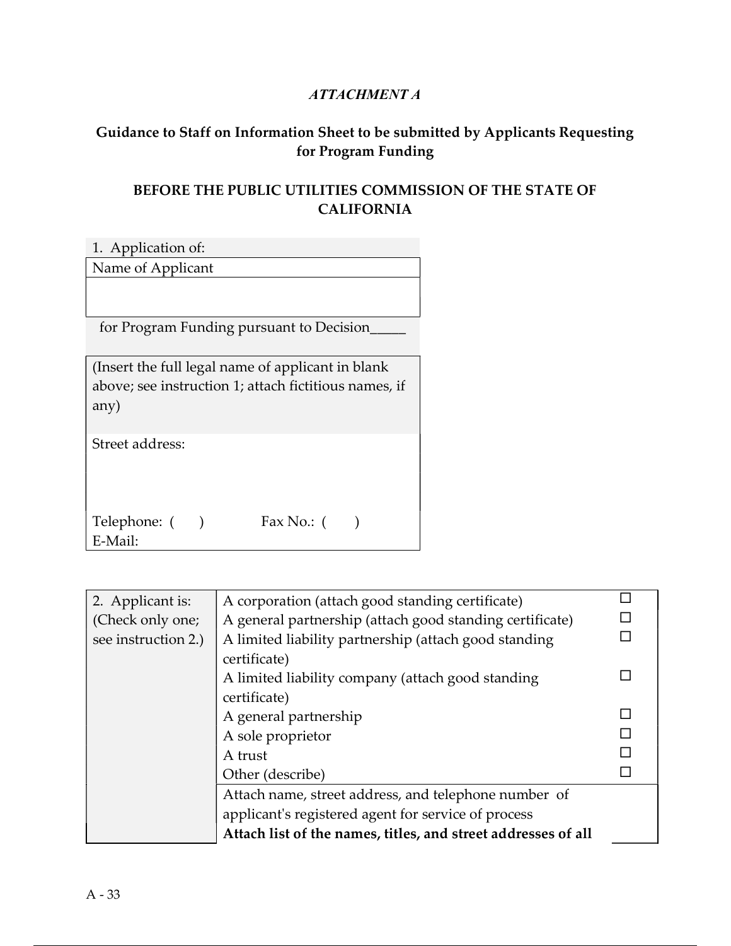#### ATTACHMENT A

### Guidance to Staff on Information Sheet to be submitted by Applicants Requesting for Program Funding

### BEFORE THE PUBLIC UTILITIES COMMISSION OF THE STATE OF CALIFORNIA

| 1. Application of:                                                                                                  |  |  |  |  |
|---------------------------------------------------------------------------------------------------------------------|--|--|--|--|
| Name of Applicant                                                                                                   |  |  |  |  |
|                                                                                                                     |  |  |  |  |
| for Program Funding pursuant to Decision                                                                            |  |  |  |  |
| (Insert the full legal name of applicant in blank)<br>above; see instruction 1; attach fictitious names, if<br>any) |  |  |  |  |
| Street address:                                                                                                     |  |  |  |  |
| Telephone: (<br>Fax No.: $($<br>E-Mail:                                                                             |  |  |  |  |

| 2. Applicant is:    | A corporation (attach good standing certificate)              |  |
|---------------------|---------------------------------------------------------------|--|
| (Check only one;    | A general partnership (attach good standing certificate)      |  |
| see instruction 2.) | A limited liability partnership (attach good standing         |  |
|                     | certificate)                                                  |  |
|                     | A limited liability company (attach good standing             |  |
|                     | certificate)                                                  |  |
|                     | A general partnership                                         |  |
|                     | A sole proprietor                                             |  |
|                     | A trust                                                       |  |
|                     | Other (describe)                                              |  |
|                     | Attach name, street address, and telephone number of          |  |
|                     | applicant's registered agent for service of process           |  |
|                     | Attach list of the names, titles, and street addresses of all |  |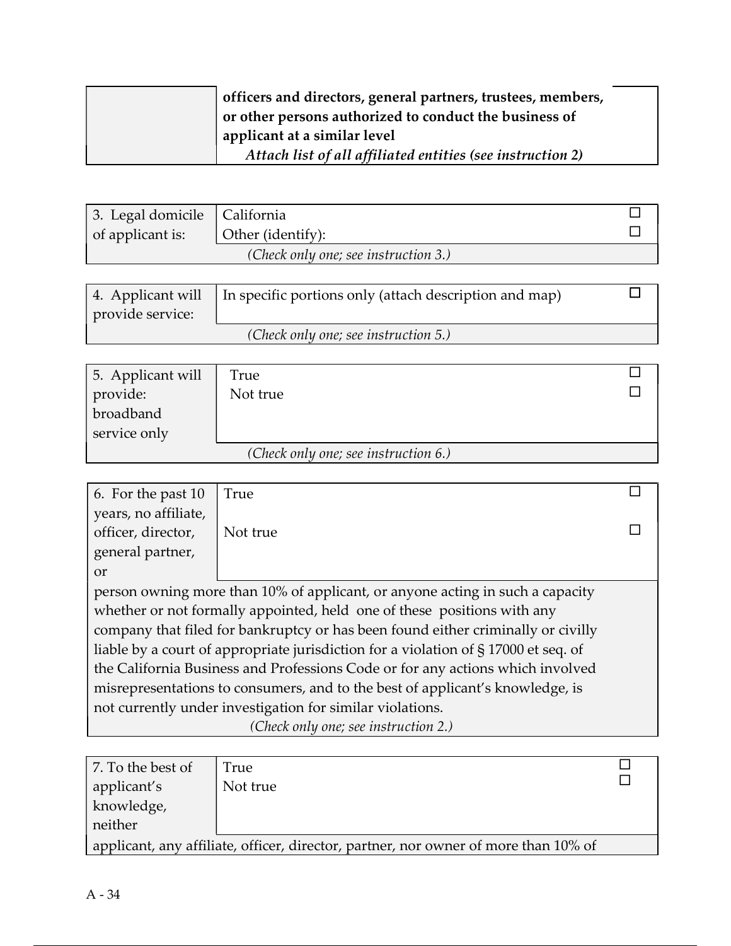|  | officers and directors, general partners, trustees, members, |
|--|--------------------------------------------------------------|
|  | or other persons authorized to conduct the business of       |
|  | applicant at a similar level                                 |
|  | Attach list of all affiliated entities (see instruction 2)   |

| 3. Legal domicile   California |                                      |  |
|--------------------------------|--------------------------------------|--|
| of applicant is:               | Other (identify):                    |  |
|                                | (Check only one; see instruction 3.) |  |

| provide service: | 4. Applicant will   In specific portions only (attach description and map) |  |
|------------------|----------------------------------------------------------------------------|--|
|                  | (Check only one; see instruction 5.)                                       |  |

| 5. Applicant will                    | True     |  |
|--------------------------------------|----------|--|
| provide:                             | Not true |  |
| broadband                            |          |  |
| service only                         |          |  |
| (Check only one; see instruction 6.) |          |  |

| 6. For the past 10                                                                 | True                                                                          |  |  |
|------------------------------------------------------------------------------------|-------------------------------------------------------------------------------|--|--|
| years, no affiliate,                                                               |                                                                               |  |  |
| officer, director,                                                                 | Not true                                                                      |  |  |
| general partner,                                                                   |                                                                               |  |  |
| <sub>or</sub>                                                                      |                                                                               |  |  |
|                                                                                    | person owning more than 10% of applicant, or anyone acting in such a capacity |  |  |
| whether or not formally appointed, held one of these positions with any            |                                                                               |  |  |
| company that filed for bankruptcy or has been found either criminally or civilly   |                                                                               |  |  |
| liable by a court of appropriate jurisdiction for a violation of §17000 et seq. of |                                                                               |  |  |
| the California Business and Professions Code or for any actions which involved     |                                                                               |  |  |
| misrepresentations to consumers, and to the best of applicant's knowledge, is      |                                                                               |  |  |
| not currently under investigation for similar violations.                          |                                                                               |  |  |
|                                                                                    | (Check only one; see instruction 2.)                                          |  |  |

| applicant, any affiliate, officer, director, partner, nor owner of more than 10% of |  |  |
|-------------------------------------------------------------------------------------|--|--|
|                                                                                     |  |  |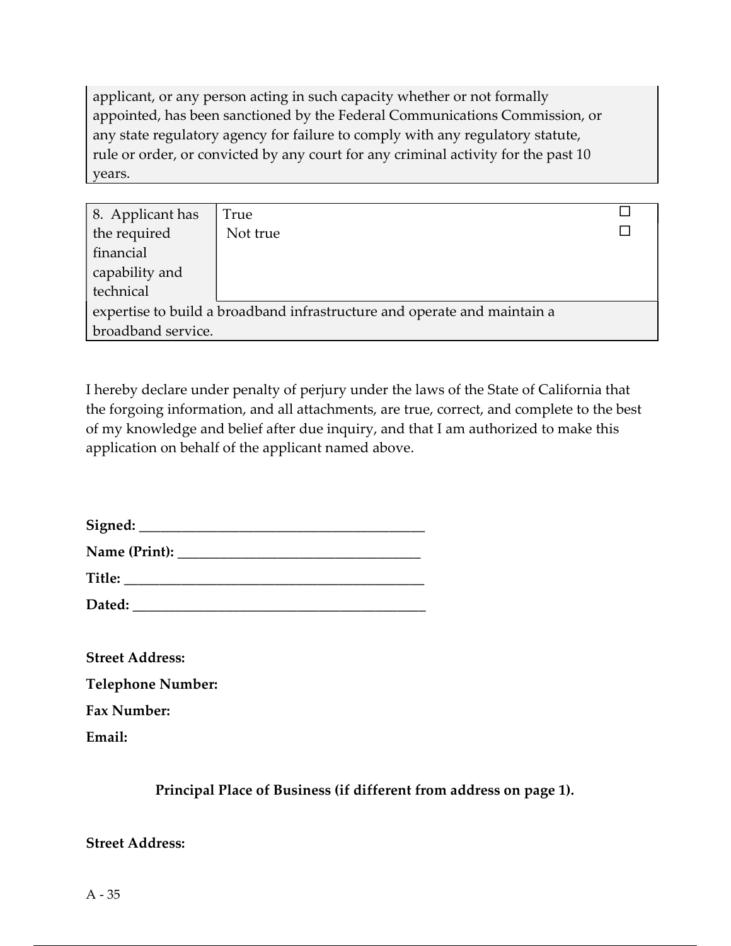applicant, or any person acting in such capacity whether or not formally appointed, has been sanctioned by the Federal Communications Commission, or any state regulatory agency for failure to comply with any regulatory statute, rule or order, or convicted by any court for any criminal activity for the past 10 years.

| 8. Applicant has                                                         | True     |  |  |  |
|--------------------------------------------------------------------------|----------|--|--|--|
| the required                                                             | Not true |  |  |  |
| financial                                                                |          |  |  |  |
| capability and                                                           |          |  |  |  |
| technical                                                                |          |  |  |  |
| expertise to build a broadband infrastructure and operate and maintain a |          |  |  |  |
| broadband service.                                                       |          |  |  |  |

I hereby declare under penalty of perjury under the laws of the State of California that the forgoing information, and all attachments, are true, correct, and complete to the best of my knowledge and belief after due inquiry, and that I am authorized to make this application on behalf of the applicant named above.

| Signed:       |  |
|---------------|--|
| Name (Print): |  |
| <b>Title:</b> |  |

Dated:

| <b>Street Address:</b>   |  |  |  |
|--------------------------|--|--|--|
| <b>Telephone Number:</b> |  |  |  |
| <b>Fax Number:</b>       |  |  |  |
| Email:                   |  |  |  |

Principal Place of Business (if different from address on page 1).

Street Address: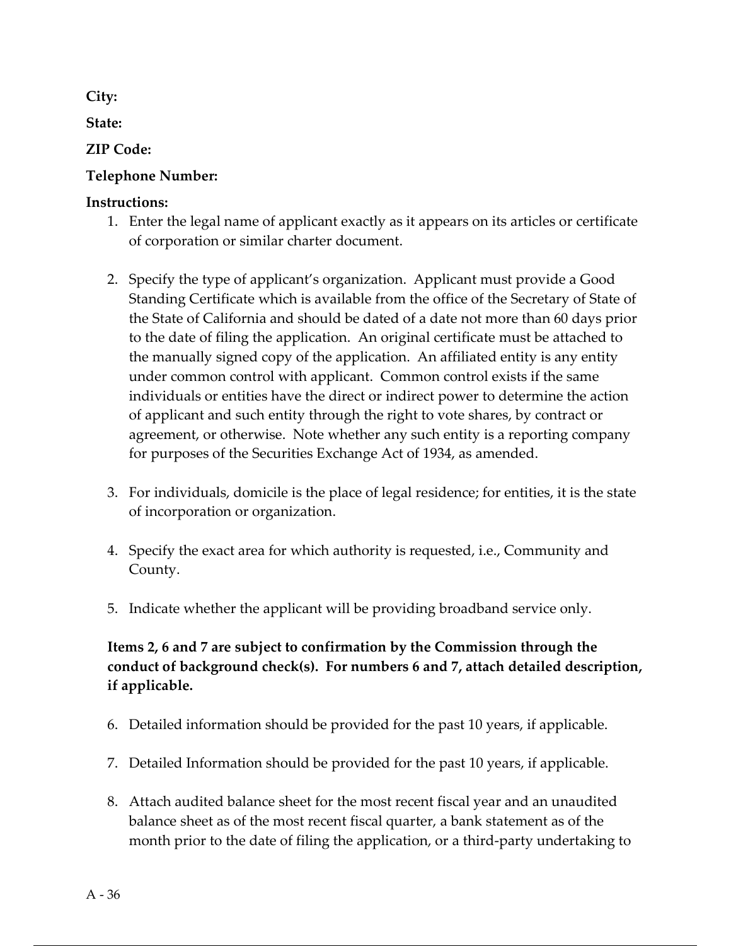City:

State:

### ZIP Code:

### Telephone Number:

#### Instructions:

- 1. Enter the legal name of applicant exactly as it appears on its articles or certificate of corporation or similar charter document.
- 2. Specify the type of applicant's organization. Applicant must provide a Good Standing Certificate which is available from the office of the Secretary of State of the State of California and should be dated of a date not more than 60 days prior to the date of filing the application. An original certificate must be attached to the manually signed copy of the application. An affiliated entity is any entity under common control with applicant. Common control exists if the same individuals or entities have the direct or indirect power to determine the action of applicant and such entity through the right to vote shares, by contract or agreement, or otherwise. Note whether any such entity is a reporting company for purposes of the Securities Exchange Act of 1934, as amended.
- 3. For individuals, domicile is the place of legal residence; for entities, it is the state of incorporation or organization.
- 4. Specify the exact area for which authority is requested, i.e., Community and County.
- 5. Indicate whether the applicant will be providing broadband service only.

### Items 2, 6 and 7 are subject to confirmation by the Commission through the conduct of background check(s). For numbers 6 and 7, attach detailed description, if applicable.

- 6. Detailed information should be provided for the past 10 years, if applicable.
- 7. Detailed Information should be provided for the past 10 years, if applicable.
- 8. Attach audited balance sheet for the most recent fiscal year and an unaudited balance sheet as of the most recent fiscal quarter, a bank statement as of the month prior to the date of filing the application, or a third-party undertaking to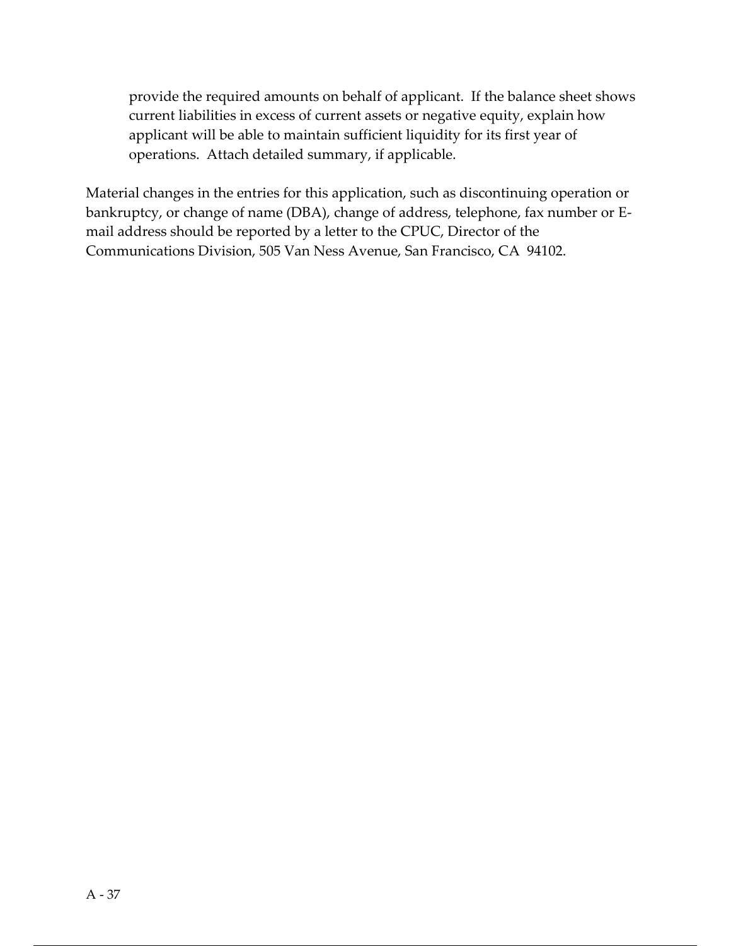provide the required amounts on behalf of applicant. If the balance sheet shows current liabilities in excess of current assets or negative equity, explain how applicant will be able to maintain sufficient liquidity for its first year of operations. Attach detailed summary, if applicable.

Material changes in the entries for this application, such as discontinuing operation or bankruptcy, or change of name (DBA), change of address, telephone, fax number or Email address should be reported by a letter to the CPUC, Director of the Communications Division, 505 Van Ness Avenue, San Francisco, CA 94102.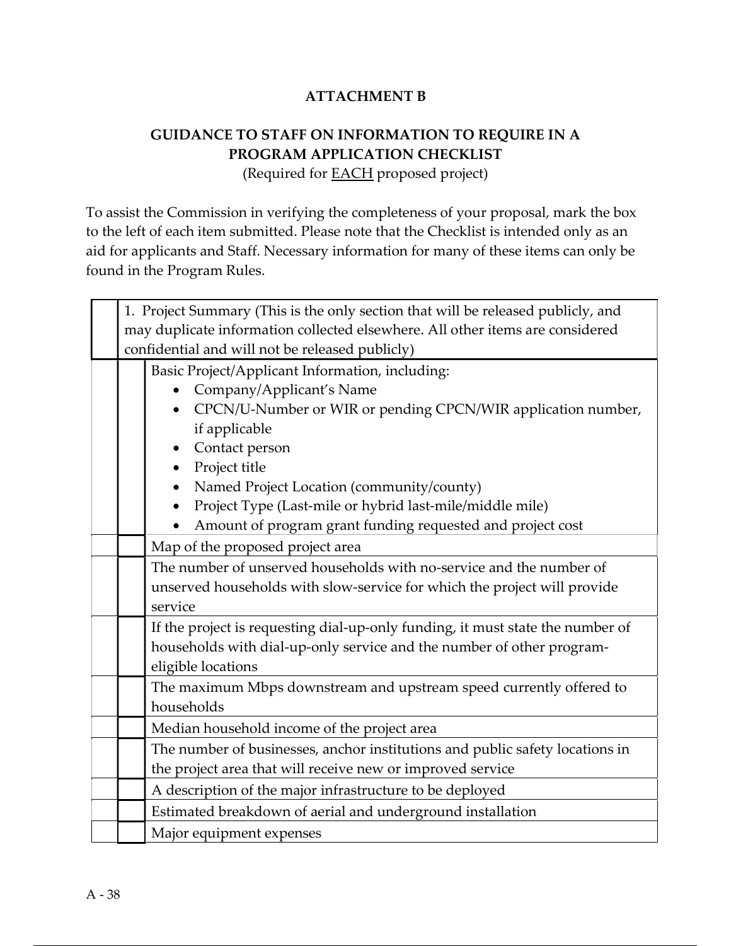#### ATTACHMENT B

# GUIDANCE TO STAFF ON INFORMATION TO REQUIRE IN A PROGRAM APPLICATION CHECKLIST

(Required for EACH proposed project)

To assist the Commission in verifying the completeness of your proposal, mark the box to the left of each item submitted. Please note that the Checklist is intended only as an aid for applicants and Staff. Necessary information for many of these items can only be found in the Program Rules.

| 1. Project Summary (This is the only section that will be released publicly, and |                                                                                |  |  |
|----------------------------------------------------------------------------------|--------------------------------------------------------------------------------|--|--|
| may duplicate information collected elsewhere. All other items are considered    |                                                                                |  |  |
|                                                                                  | confidential and will not be released publicly)                                |  |  |
|                                                                                  | Basic Project/Applicant Information, including:                                |  |  |
|                                                                                  | Company/Applicant's Name                                                       |  |  |
|                                                                                  | CPCN/U-Number or WIR or pending CPCN/WIR application number,                   |  |  |
|                                                                                  | if applicable                                                                  |  |  |
|                                                                                  | Contact person                                                                 |  |  |
|                                                                                  | Project title                                                                  |  |  |
|                                                                                  | Named Project Location (community/county)                                      |  |  |
|                                                                                  | Project Type (Last-mile or hybrid last-mile/middle mile)                       |  |  |
|                                                                                  | Amount of program grant funding requested and project cost                     |  |  |
|                                                                                  | Map of the proposed project area                                               |  |  |
|                                                                                  | The number of unserved households with no-service and the number of            |  |  |
|                                                                                  | unserved households with slow-service for which the project will provide       |  |  |
|                                                                                  | service                                                                        |  |  |
|                                                                                  | If the project is requesting dial-up-only funding, it must state the number of |  |  |
|                                                                                  | households with dial-up-only service and the number of other program-          |  |  |
|                                                                                  | eligible locations                                                             |  |  |
|                                                                                  | The maximum Mbps downstream and upstream speed currently offered to            |  |  |
|                                                                                  | households                                                                     |  |  |
|                                                                                  | Median household income of the project area                                    |  |  |
|                                                                                  | The number of businesses, anchor institutions and public safety locations in   |  |  |
|                                                                                  | the project area that will receive new or improved service                     |  |  |
|                                                                                  | A description of the major infrastructure to be deployed                       |  |  |
|                                                                                  | Estimated breakdown of aerial and underground installation                     |  |  |
|                                                                                  | Major equipment expenses                                                       |  |  |
|                                                                                  |                                                                                |  |  |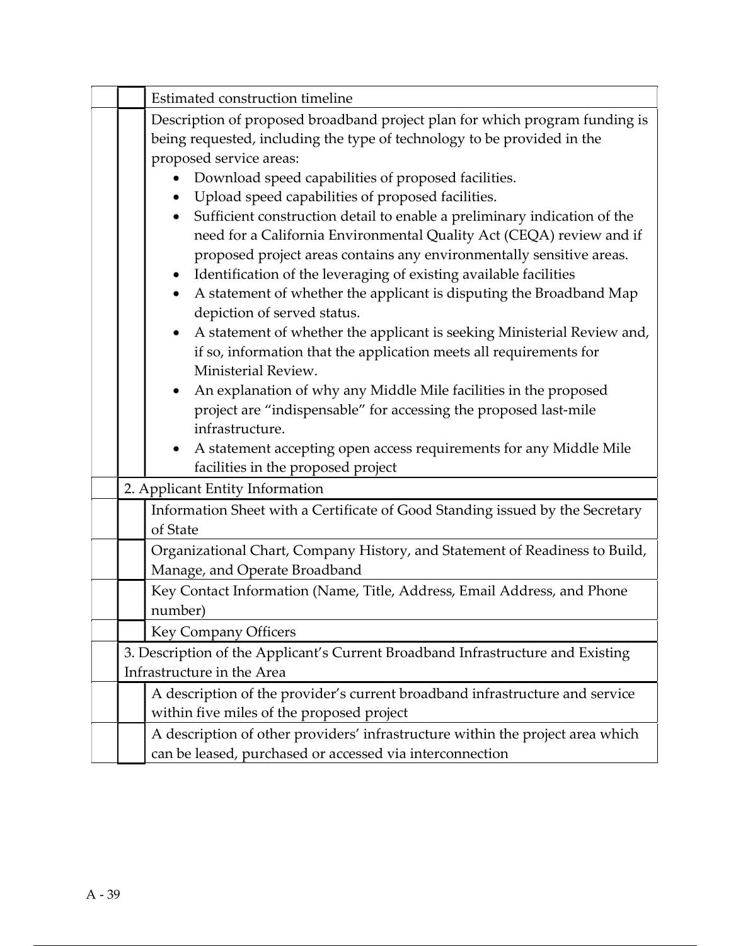|  | Estimated construction timeline                                                                                                                                                                                                                                                                                                                                                                                                                                                                                                                                                                                                                                                                 |  |  |
|--|-------------------------------------------------------------------------------------------------------------------------------------------------------------------------------------------------------------------------------------------------------------------------------------------------------------------------------------------------------------------------------------------------------------------------------------------------------------------------------------------------------------------------------------------------------------------------------------------------------------------------------------------------------------------------------------------------|--|--|
|  | Description of proposed broadband project plan for which program funding is<br>being requested, including the type of technology to be provided in the<br>proposed service areas:<br>Download speed capabilities of proposed facilities.<br>Upload speed capabilities of proposed facilities.<br>$\bullet$<br>Sufficient construction detail to enable a preliminary indication of the<br>need for a California Environmental Quality Act (CEQA) review and if<br>proposed project areas contains any environmentally sensitive areas.<br>Identification of the leveraging of existing available facilities<br>A statement of whether the applicant is disputing the Broadband Map<br>$\bullet$ |  |  |
|  | depiction of served status.<br>A statement of whether the applicant is seeking Ministerial Review and,<br>$\bullet$<br>if so, information that the application meets all requirements for<br>Ministerial Review.<br>An explanation of why any Middle Mile facilities in the proposed<br>$\bullet$<br>project are "indispensable" for accessing the proposed last-mile<br>infrastructure.<br>A statement accepting open access requirements for any Middle Mile<br>facilities in the proposed project                                                                                                                                                                                            |  |  |
|  | 2. Applicant Entity Information                                                                                                                                                                                                                                                                                                                                                                                                                                                                                                                                                                                                                                                                 |  |  |
|  | Information Sheet with a Certificate of Good Standing issued by the Secretary<br>of State                                                                                                                                                                                                                                                                                                                                                                                                                                                                                                                                                                                                       |  |  |
|  | Organizational Chart, Company History, and Statement of Readiness to Build,<br>Manage, and Operate Broadband                                                                                                                                                                                                                                                                                                                                                                                                                                                                                                                                                                                    |  |  |
|  | Key Contact Information (Name, Title, Address, Email Address, and Phone<br>number)                                                                                                                                                                                                                                                                                                                                                                                                                                                                                                                                                                                                              |  |  |
|  | <b>Key Company Officers</b>                                                                                                                                                                                                                                                                                                                                                                                                                                                                                                                                                                                                                                                                     |  |  |
|  | 3. Description of the Applicant's Current Broadband Infrastructure and Existing<br>Infrastructure in the Area                                                                                                                                                                                                                                                                                                                                                                                                                                                                                                                                                                                   |  |  |
|  | A description of the provider's current broadband infrastructure and service<br>within five miles of the proposed project                                                                                                                                                                                                                                                                                                                                                                                                                                                                                                                                                                       |  |  |
|  | A description of other providers' infrastructure within the project area which<br>can be leased, purchased or accessed via interconnection                                                                                                                                                                                                                                                                                                                                                                                                                                                                                                                                                      |  |  |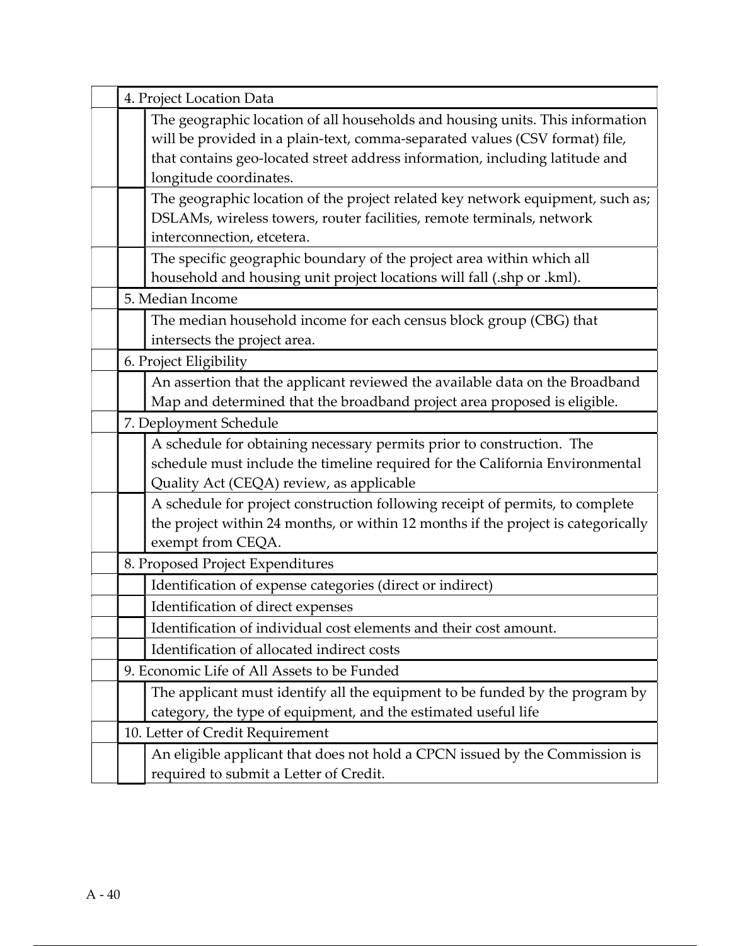| 4. Project Location Data                                                                                                                                                                                                                                               |  |  |
|------------------------------------------------------------------------------------------------------------------------------------------------------------------------------------------------------------------------------------------------------------------------|--|--|
| The geographic location of all households and housing units. This information<br>will be provided in a plain-text, comma-separated values (CSV format) file,<br>that contains geo-located street address information, including latitude and<br>longitude coordinates. |  |  |
| The geographic location of the project related key network equipment, such as;<br>DSLAMs, wireless towers, router facilities, remote terminals, network<br>interconnection, etcetera.                                                                                  |  |  |
| The specific geographic boundary of the project area within which all<br>household and housing unit project locations will fall (.shp or .kml).                                                                                                                        |  |  |
| 5. Median Income                                                                                                                                                                                                                                                       |  |  |
| The median household income for each census block group (CBG) that<br>intersects the project area.                                                                                                                                                                     |  |  |
| 6. Project Eligibility                                                                                                                                                                                                                                                 |  |  |
| An assertion that the applicant reviewed the available data on the Broadband<br>Map and determined that the broadband project area proposed is eligible.                                                                                                               |  |  |
| 7. Deployment Schedule                                                                                                                                                                                                                                                 |  |  |
| A schedule for obtaining necessary permits prior to construction. The<br>schedule must include the timeline required for the California Environmental<br>Quality Act (CEQA) review, as applicable                                                                      |  |  |
| A schedule for project construction following receipt of permits, to complete<br>the project within 24 months, or within 12 months if the project is categorically<br>exempt from CEQA.                                                                                |  |  |
| 8. Proposed Project Expenditures                                                                                                                                                                                                                                       |  |  |
| Identification of expense categories (direct or indirect)                                                                                                                                                                                                              |  |  |
| Identification of direct expenses                                                                                                                                                                                                                                      |  |  |
| Identification of individual cost elements and their cost amount.                                                                                                                                                                                                      |  |  |
| Identification of allocated indirect costs                                                                                                                                                                                                                             |  |  |
| 9. Economic Life of All Assets to be Funded                                                                                                                                                                                                                            |  |  |
| The applicant must identify all the equipment to be funded by the program by<br>category, the type of equipment, and the estimated useful life                                                                                                                         |  |  |
| 10. Letter of Credit Requirement                                                                                                                                                                                                                                       |  |  |
| An eligible applicant that does not hold a CPCN issued by the Commission is<br>required to submit a Letter of Credit.                                                                                                                                                  |  |  |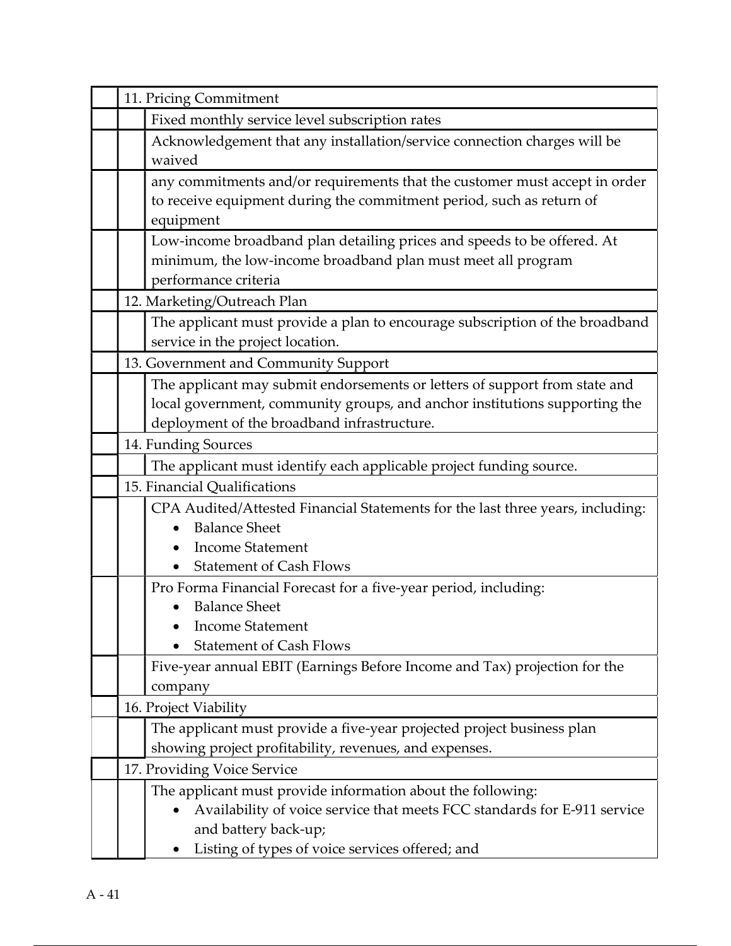| 11. Pricing Commitment                         |                                                                                                                                         |  |
|------------------------------------------------|-----------------------------------------------------------------------------------------------------------------------------------------|--|
| Fixed monthly service level subscription rates |                                                                                                                                         |  |
|                                                | Acknowledgement that any installation/service connection charges will be                                                                |  |
|                                                | waived                                                                                                                                  |  |
|                                                | any commitments and/or requirements that the customer must accept in order                                                              |  |
|                                                | to receive equipment during the commitment period, such as return of                                                                    |  |
|                                                | equipment                                                                                                                               |  |
|                                                | Low-income broadband plan detailing prices and speeds to be offered. At                                                                 |  |
|                                                | minimum, the low-income broadband plan must meet all program                                                                            |  |
|                                                | performance criteria                                                                                                                    |  |
|                                                | 12. Marketing/Outreach Plan                                                                                                             |  |
|                                                | The applicant must provide a plan to encourage subscription of the broadband<br>service in the project location.                        |  |
|                                                | 13. Government and Community Support                                                                                                    |  |
|                                                | The applicant may submit endorsements or letters of support from state and                                                              |  |
|                                                | local government, community groups, and anchor institutions supporting the                                                              |  |
|                                                | deployment of the broadband infrastructure.                                                                                             |  |
|                                                | 14. Funding Sources                                                                                                                     |  |
|                                                | The applicant must identify each applicable project funding source.                                                                     |  |
|                                                | 15. Financial Qualifications                                                                                                            |  |
|                                                | CPA Audited/Attested Financial Statements for the last three years, including:                                                          |  |
|                                                | <b>Balance Sheet</b>                                                                                                                    |  |
|                                                | <b>Income Statement</b>                                                                                                                 |  |
|                                                | <b>Statement of Cash Flows</b>                                                                                                          |  |
|                                                | Pro Forma Financial Forecast for a five-year period, including:                                                                         |  |
|                                                | <b>Balance Sheet</b>                                                                                                                    |  |
|                                                | <b>Income Statement</b>                                                                                                                 |  |
|                                                | <b>Statement of Cash Flows</b>                                                                                                          |  |
|                                                | Five-year annual EBIT (Earnings Before Income and Tax) projection for the                                                               |  |
|                                                | company                                                                                                                                 |  |
|                                                | 16. Project Viability                                                                                                                   |  |
|                                                | The applicant must provide a five-year projected project business plan                                                                  |  |
|                                                | showing project profitability, revenues, and expenses.                                                                                  |  |
|                                                | 17. Providing Voice Service                                                                                                             |  |
|                                                | The applicant must provide information about the following:<br>Availability of voice service that meets FCC standards for E-911 service |  |
|                                                | and battery back-up;                                                                                                                    |  |
|                                                | Listing of types of voice services offered; and                                                                                         |  |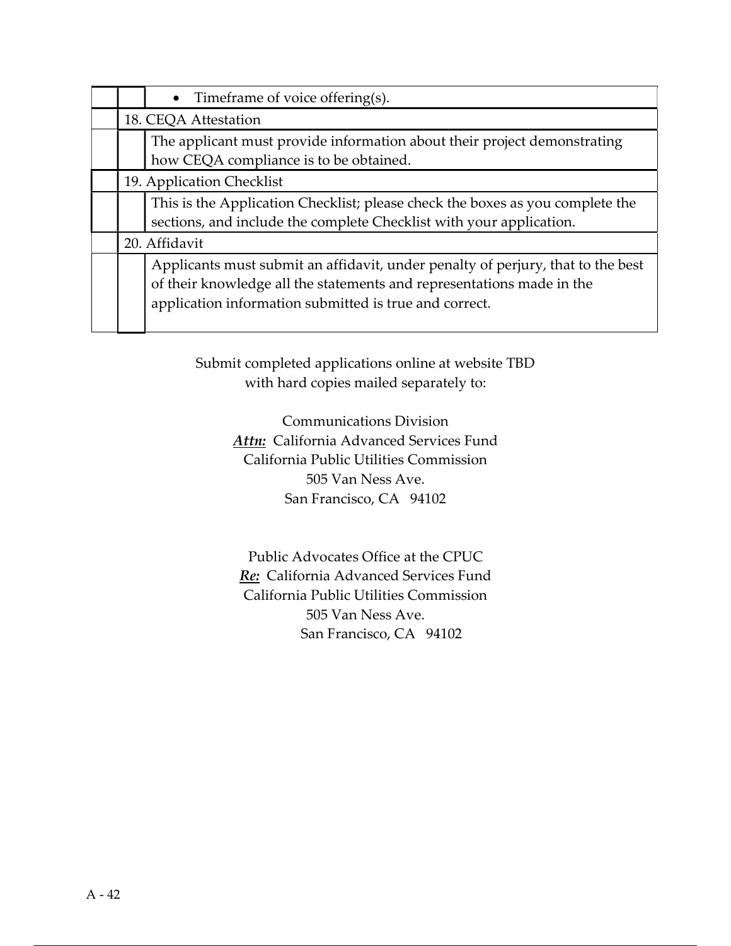|  | $\bullet$ Timeframe of voice offering(s).                                                                                                                                                                          |  |
|--|--------------------------------------------------------------------------------------------------------------------------------------------------------------------------------------------------------------------|--|
|  | 18. CEQA Attestation                                                                                                                                                                                               |  |
|  | The applicant must provide information about their project demonstrating<br>how CEQA compliance is to be obtained.                                                                                                 |  |
|  | 19. Application Checklist                                                                                                                                                                                          |  |
|  | This is the Application Checklist; please check the boxes as you complete the                                                                                                                                      |  |
|  | sections, and include the complete Checklist with your application.                                                                                                                                                |  |
|  | 20. Affidavit                                                                                                                                                                                                      |  |
|  | Applicants must submit an affidavit, under penalty of perjury, that to the best<br>of their knowledge all the statements and representations made in the<br>application information submitted is true and correct. |  |

Submit completed applications online at website TBD with hard copies mailed separately to:

> Communications Division Attn: California Advanced Services Fund California Public Utilities Commission 505 Van Ness Ave. San Francisco, CA 94102

Public Advocates Office at the CPUC Re: California Advanced Services Fund California Public Utilities Commission 505 Van Ness Ave. San Francisco, CA 94102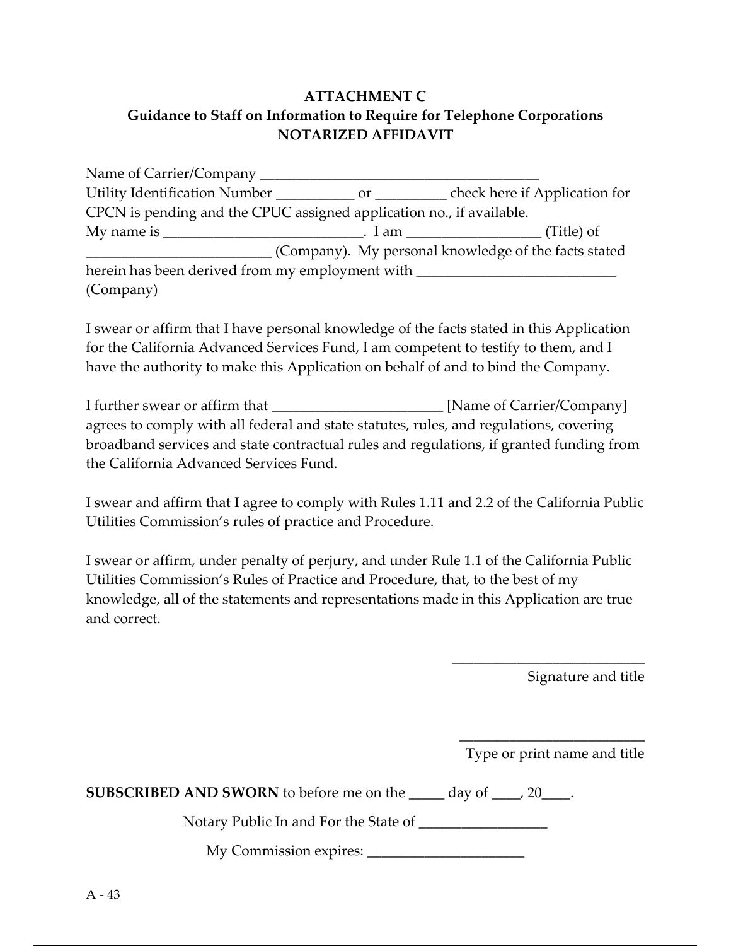### ATTACHMENT C Guidance to Staff on Information to Require for Telephone Corporations NOTARIZED AFFIDAVIT

| Name of Carrier/Company                                              |                                                      |
|----------------------------------------------------------------------|------------------------------------------------------|
|                                                                      | check here if Application for                        |
| CPCN is pending and the CPUC assigned application no., if available. |                                                      |
| My name is                                                           | . I am $\sqrt{ }$ (Title) of                         |
|                                                                      | (Company). My personal knowledge of the facts stated |
| herein has been derived from my employment with                      |                                                      |
| (Company)                                                            |                                                      |

I swear or affirm that I have personal knowledge of the facts stated in this Application for the California Advanced Services Fund, I am competent to testify to them, and I have the authority to make this Application on behalf of and to bind the Company.

I further swear or affirm that \_\_\_\_\_\_\_\_\_\_\_\_\_\_\_\_\_\_\_\_\_\_\_\_ [Name of Carrier/Company] agrees to comply with all federal and state statutes, rules, and regulations, covering broadband services and state contractual rules and regulations, if granted funding from the California Advanced Services Fund.

I swear and affirm that I agree to comply with Rules 1.11 and 2.2 of the California Public Utilities Commission's rules of practice and Procedure.

I swear or affirm, under penalty of perjury, and under Rule 1.1 of the California Public Utilities Commission's Rules of Practice and Procedure, that, to the best of my knowledge, all of the statements and representations made in this Application are true and correct.

Signature and title

\_\_\_\_\_\_\_\_\_\_\_\_\_\_\_\_\_\_\_\_\_\_\_\_\_\_ Type or print name and title

\_\_\_\_\_\_\_\_\_\_\_\_\_\_\_\_\_\_\_\_\_\_\_\_\_\_\_

SUBSCRIBED AND SWORN to before me on the \_\_\_\_\_ day of \_\_\_\_, 20\_\_\_\_.

Notary Public In and For the State of

My Commission expires: \_\_\_\_\_\_\_\_\_\_\_\_\_\_\_\_\_\_\_\_\_\_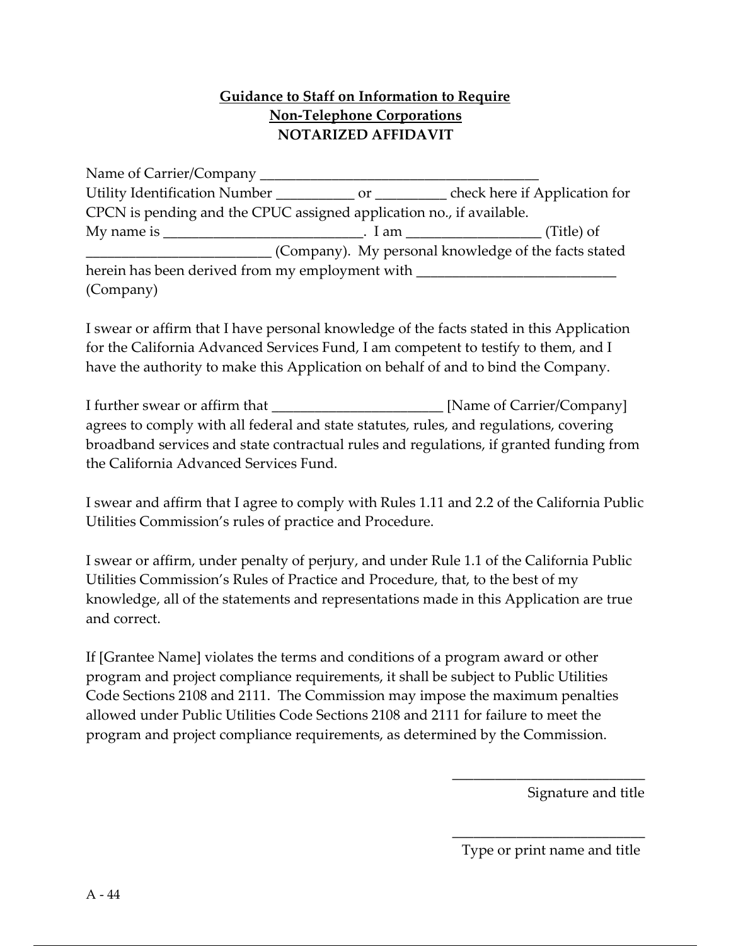### Guidance to Staff on Information to Require Non-Telephone Corporations NOTARIZED AFFIDAVIT

Name of Carrier/Company \_\_\_\_\_\_\_\_\_\_\_\_\_\_\_\_\_\_\_\_\_\_\_\_\_\_\_\_\_\_\_\_\_\_\_\_\_\_\_ Utility Identification Number \_\_\_\_\_\_\_\_\_\_\_ or \_\_\_\_\_\_\_\_\_\_ check here if Application for CPCN is pending and the CPUC assigned application no., if available. My name is \_\_\_\_\_\_\_\_\_\_\_\_\_\_\_\_\_\_\_\_\_\_\_\_\_\_\_\_\_\_\_. I am \_\_\_\_\_\_\_\_\_\_\_\_\_\_\_\_\_\_\_\_\_\_\_\_\_(Title) of \_\_\_\_\_\_\_\_\_\_\_\_\_\_\_\_\_\_\_\_\_\_\_\_\_\_ (Company). My personal knowledge of the facts stated herein has been derived from my employment with (Company)

I swear or affirm that I have personal knowledge of the facts stated in this Application for the California Advanced Services Fund, I am competent to testify to them, and I have the authority to make this Application on behalf of and to bind the Company.

I further swear or affirm that \_\_\_\_\_\_\_\_\_\_\_\_\_\_\_\_\_\_\_\_\_\_\_\_ [Name of Carrier/Company] agrees to comply with all federal and state statutes, rules, and regulations, covering broadband services and state contractual rules and regulations, if granted funding from the California Advanced Services Fund.

I swear and affirm that I agree to comply with Rules 1.11 and 2.2 of the California Public Utilities Commission's rules of practice and Procedure.

I swear or affirm, under penalty of perjury, and under Rule 1.1 of the California Public Utilities Commission's Rules of Practice and Procedure, that, to the best of my knowledge, all of the statements and representations made in this Application are true and correct.

If [Grantee Name] violates the terms and conditions of a program award or other program and project compliance requirements, it shall be subject to Public Utilities Code Sections 2108 and 2111. The Commission may impose the maximum penalties allowed under Public Utilities Code Sections 2108 and 2111 for failure to meet the program and project compliance requirements, as determined by the Commission.

Signature and title

\_\_\_\_\_\_\_\_\_\_\_\_\_\_\_\_\_\_\_\_\_\_\_\_\_\_\_ Type or print name and title

\_\_\_\_\_\_\_\_\_\_\_\_\_\_\_\_\_\_\_\_\_\_\_\_\_\_\_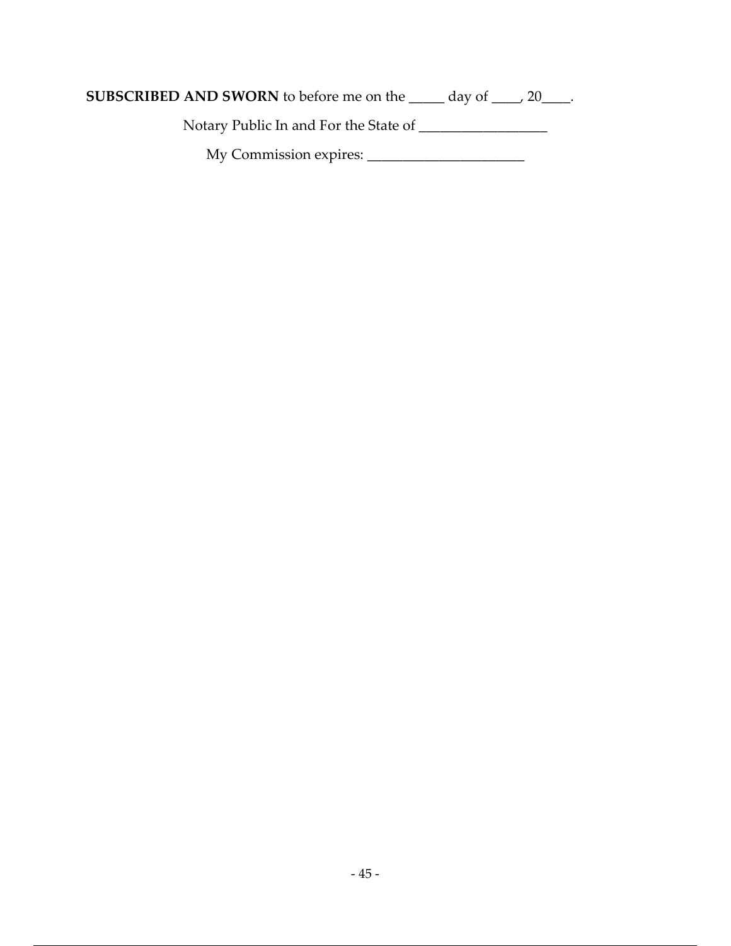Notary Public In and For the State of \_\_\_\_\_\_\_\_\_\_\_\_\_\_\_\_\_\_

My Commission expires: \_\_\_\_\_\_\_\_\_\_\_\_\_\_\_\_\_\_\_\_\_\_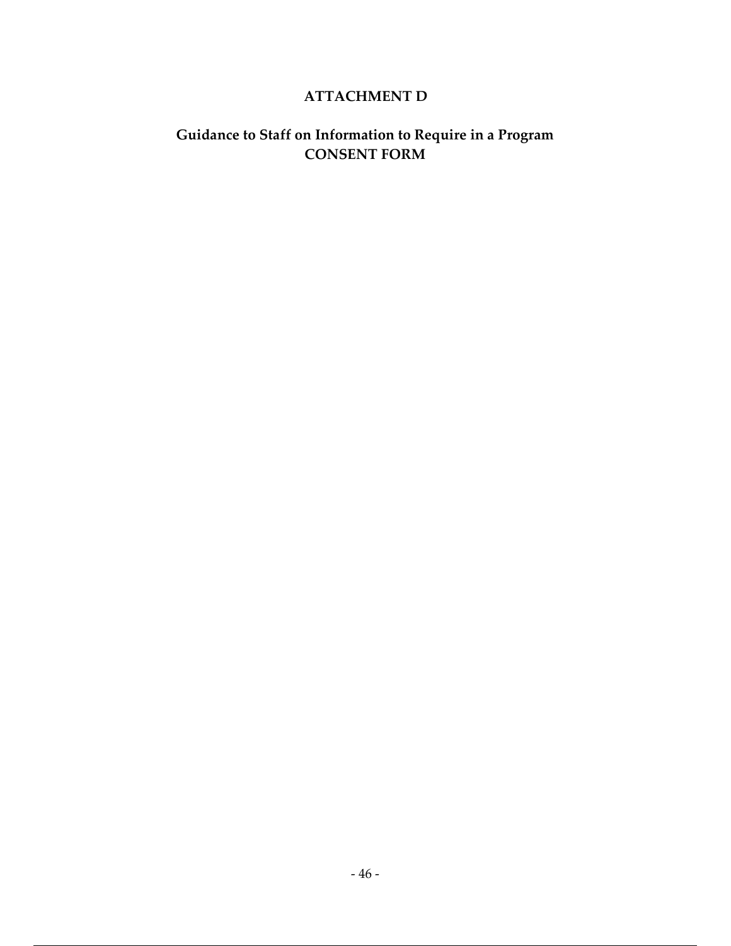#### ATTACHMENT D

### Guidance to Staff on Information to Require in a Program CONSENT FORM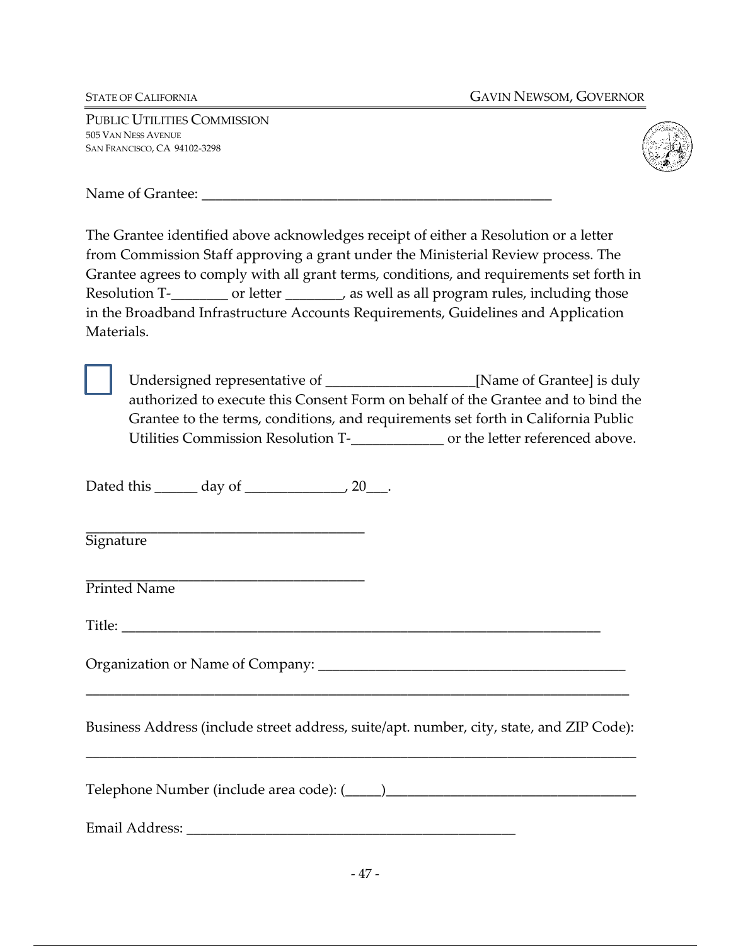PUBLIC UTILITIES COMMISSION 505 VAN NESS AVENUE SAN FRANCISCO, CA 94102-3298



Name of Grantee:  $\blacksquare$ 

The Grantee identified above acknowledges receipt of either a Resolution or a letter from Commission Staff approving a grant under the Ministerial Review process. The Grantee agrees to comply with all grant terms, conditions, and requirements set forth in Resolution T-\_\_\_\_\_\_\_\_ or letter \_\_\_\_\_\_\_, as well as all program rules, including those in the Broadband Infrastructure Accounts Requirements, Guidelines and Application Materials.

Undersigned representative of \_\_\_\_\_\_\_\_\_\_\_\_\_\_\_\_\_\_\_\_\_[Name of Grantee] is duly authorized to execute this Consent Form on behalf of the Grantee and to bind the Grantee to the terms, conditions, and requirements set forth in California Public Utilities Commission Resolution T-\_\_\_\_\_\_\_\_\_\_\_\_\_ or the letter referenced above.

Dated this  $\_\_\_\_\_\$  day of  $\_\_\_\_\$  , 20

\_\_\_\_\_\_\_\_\_\_\_\_\_\_\_\_\_\_\_\_\_\_\_\_\_\_\_\_\_\_\_\_\_\_\_\_\_\_\_ **Signature** 

\_\_\_\_\_\_\_\_\_\_\_\_\_\_\_\_\_\_\_\_\_\_\_\_\_\_\_\_\_\_\_\_\_\_\_\_\_\_\_ Printed Name

Title: \_\_\_\_\_\_\_\_\_\_\_\_\_\_\_\_\_\_\_\_\_\_\_\_\_\_\_\_\_\_\_\_\_\_\_\_\_\_\_\_\_\_\_\_\_\_\_\_\_\_\_\_\_\_\_\_\_\_\_\_\_\_\_\_\_\_\_

Organization or Name of Company: \_\_\_\_\_\_\_\_\_\_\_\_\_\_\_\_\_\_\_\_\_\_\_\_\_\_\_\_\_\_\_\_\_\_\_\_\_\_\_\_\_\_\_

Business Address (include street address, suite/apt. number, city, state, and ZIP Code):

\_\_\_\_\_\_\_\_\_\_\_\_\_\_\_\_\_\_\_\_\_\_\_\_\_\_\_\_\_\_\_\_\_\_\_\_\_\_\_\_\_\_\_\_\_\_\_\_\_\_\_\_\_\_\_\_\_\_\_\_\_\_\_\_\_\_\_\_\_\_\_\_\_\_\_\_\_

\_\_\_\_\_\_\_\_\_\_\_\_\_\_\_\_\_\_\_\_\_\_\_\_\_\_\_\_\_\_\_\_\_\_\_\_\_\_\_\_\_\_\_\_\_\_\_\_\_\_\_\_\_\_\_\_\_\_\_\_\_\_\_\_\_\_\_\_\_\_\_\_\_\_\_\_

Telephone Number (include area code): (\_\_\_\_\_)\_\_\_\_\_\_\_\_\_\_\_\_\_\_\_\_\_\_\_\_\_\_\_\_\_\_\_\_\_\_\_\_\_\_\_

Email Address: \_\_\_\_\_\_\_\_\_\_\_\_\_\_\_\_\_\_\_\_\_\_\_\_\_\_\_\_\_\_\_\_\_\_\_\_\_\_\_\_\_\_\_\_\_\_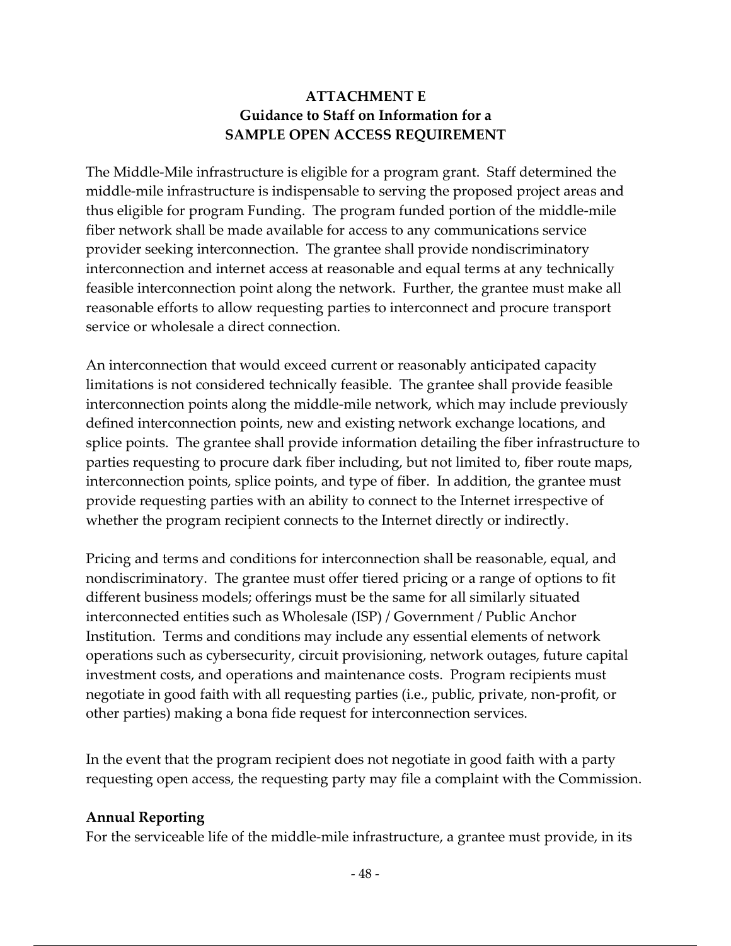#### ATTACHMENT E Guidance to Staff on Information for a SAMPLE OPEN ACCESS REQUIREMENT

The Middle-Mile infrastructure is eligible for a program grant. Staff determined the middle-mile infrastructure is indispensable to serving the proposed project areas and thus eligible for program Funding. The program funded portion of the middle-mile fiber network shall be made available for access to any communications service provider seeking interconnection. The grantee shall provide nondiscriminatory interconnection and internet access at reasonable and equal terms at any technically feasible interconnection point along the network. Further, the grantee must make all reasonable efforts to allow requesting parties to interconnect and procure transport service or wholesale a direct connection.

An interconnection that would exceed current or reasonably anticipated capacity limitations is not considered technically feasible. The grantee shall provide feasible interconnection points along the middle-mile network, which may include previously defined interconnection points, new and existing network exchange locations, and splice points. The grantee shall provide information detailing the fiber infrastructure to parties requesting to procure dark fiber including, but not limited to, fiber route maps, interconnection points, splice points, and type of fiber. In addition, the grantee must provide requesting parties with an ability to connect to the Internet irrespective of whether the program recipient connects to the Internet directly or indirectly.

Pricing and terms and conditions for interconnection shall be reasonable, equal, and nondiscriminatory. The grantee must offer tiered pricing or a range of options to fit different business models; offerings must be the same for all similarly situated interconnected entities such as Wholesale (ISP) / Government / Public Anchor Institution. Terms and conditions may include any essential elements of network operations such as cybersecurity, circuit provisioning, network outages, future capital investment costs, and operations and maintenance costs. Program recipients must negotiate in good faith with all requesting parties (i.e., public, private, non-profit, or other parties) making a bona fide request for interconnection services.

In the event that the program recipient does not negotiate in good faith with a party requesting open access, the requesting party may file a complaint with the Commission.

#### Annual Reporting

For the serviceable life of the middle-mile infrastructure, a grantee must provide, in its